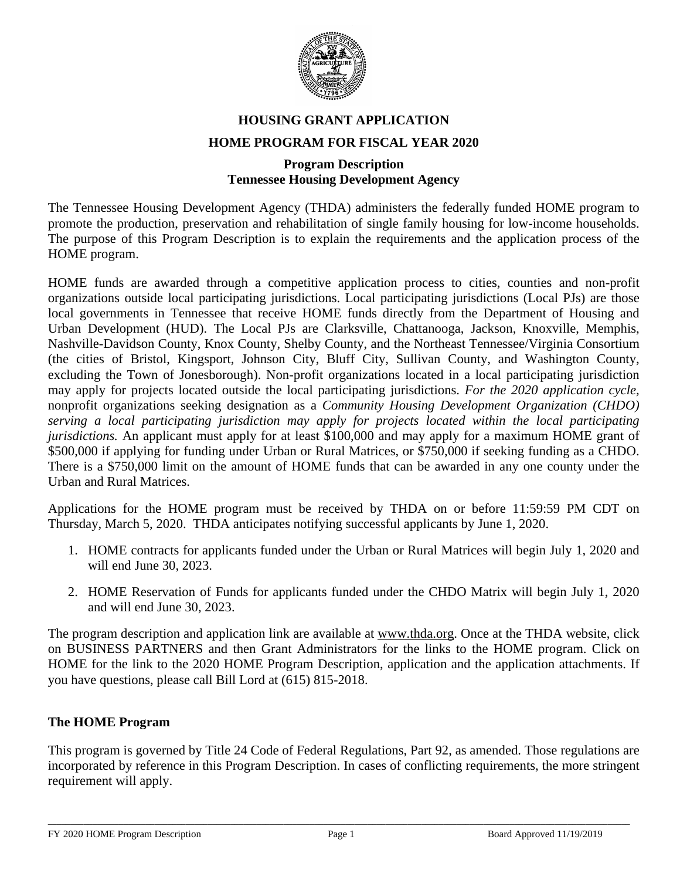

# **HOUSING GRANT APPLICATION HOME PROGRAM FOR FISCAL YEAR 2020**

#### **Program Description Tennessee Housing Development Agency**

The Tennessee Housing Development Agency (THDA) administers the federally funded HOME program to promote the production, preservation and rehabilitation of single family housing for low-income households. The purpose of this Program Description is to explain the requirements and the application process of the HOME program.

HOME funds are awarded through a competitive application process to cities, counties and non-profit organizations outside local participating jurisdictions. Local participating jurisdictions (Local PJs) are those local governments in Tennessee that receive HOME funds directly from the Department of Housing and Urban Development (HUD). The Local PJs are Clarksville, Chattanooga, Jackson, Knoxville, Memphis, Nashville-Davidson County, Knox County, Shelby County, and the Northeast Tennessee/Virginia Consortium (the cities of Bristol, Kingsport, Johnson City, Bluff City, Sullivan County, and Washington County, excluding the Town of Jonesborough). Non-profit organizations located in a local participating jurisdiction may apply for projects located outside the local participating jurisdictions. *For the 2020 application cycle,* nonprofit organizations seeking designation as a *Community Housing Development Organization (CHDO) serving a local participating jurisdiction may apply for projects located within the local participating jurisdictions*. An applicant must apply for at least \$100,000 and may apply for a maximum HOME grant of \$500,000 if applying for funding under Urban or Rural Matrices, or \$750,000 if seeking funding as a CHDO. There is a \$750,000 limit on the amount of HOME funds that can be awarded in any one county under the Urban and Rural Matrices.

Applications for the HOME program must be received by THDA on or before 11:59:59 PM CDT on Thursday, March 5, 2020. THDA anticipates notifying successful applicants by June 1, 2020.

- 1. HOME contracts for applicants funded under the Urban or Rural Matrices will begin July 1, 2020 and will end June 30, 2023.
- 2. HOME Reservation of Funds for applicants funded under the CHDO Matrix will begin July 1, 2020 and will end June 30, 2023.

The program description and application link are available at [www.thda.org.](http://www.thda.org/) Once at the THDA website, click on BUSINESS PARTNERS and then Grant Administrators for the links to the HOME program. Click on HOME for the link to the 2020 HOME Program Description, application and the application attachments. If you have questions, please call Bill Lord at (615) 815-2018.

# **The HOME Program**

This program is governed by Title 24 Code of Federal Regulations, Part 92, as amended. Those regulations are incorporated by reference in this Program Description. In cases of conflicting requirements, the more stringent requirement will apply.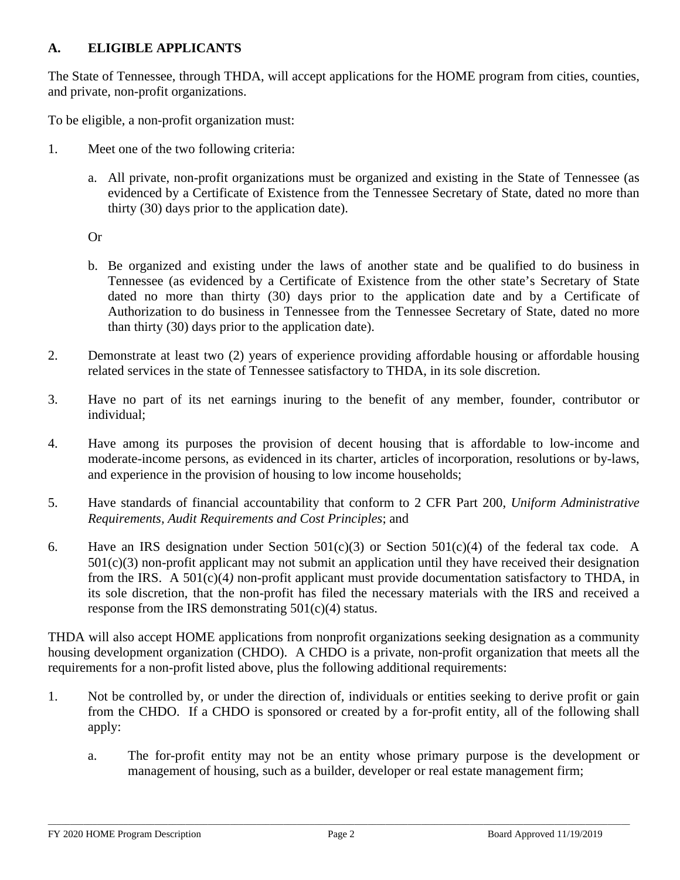# **A. ELIGIBLE APPLICANTS**

The State of Tennessee, through THDA, will accept applications for the HOME program from cities, counties, and private, non-profit organizations.

To be eligible, a non-profit organization must:

- 1. Meet one of the two following criteria:
	- a. All private, non-profit organizations must be organized and existing in the State of Tennessee (as evidenced by a Certificate of Existence from the Tennessee Secretary of State, dated no more than thirty (30) days prior to the application date).

Or

- b. Be organized and existing under the laws of another state and be qualified to do business in Tennessee (as evidenced by a Certificate of Existence from the other state's Secretary of State dated no more than thirty (30) days prior to the application date and by a Certificate of Authorization to do business in Tennessee from the Tennessee Secretary of State, dated no more than thirty (30) days prior to the application date).
- 2. Demonstrate at least two (2) years of experience providing affordable housing or affordable housing related services in the state of Tennessee satisfactory to THDA, in its sole discretion.
- 3. Have no part of its net earnings inuring to the benefit of any member, founder, contributor or individual;
- 4. Have among its purposes the provision of decent housing that is affordable to low-income and moderate-income persons, as evidenced in its charter, articles of incorporation, resolutions or by-laws, and experience in the provision of housing to low income households;
- 5. Have standards of financial accountability that conform to 2 CFR Part 200, *Uniform Administrative Requirements, Audit Requirements and Cost Principles*; and
- 6. Have an IRS designation under Section  $501(c)(3)$  or Section  $501(c)(4)$  of the federal tax code. A  $501(c)(3)$  non-profit applicant may not submit an application until they have received their designation from the IRS. A 501(c)(4*)* non-profit applicant must provide documentation satisfactory to THDA, in its sole discretion, that the non-profit has filed the necessary materials with the IRS and received a response from the IRS demonstrating  $501(c)(4)$  status.

THDA will also accept HOME applications from nonprofit organizations seeking designation as a community housing development organization (CHDO). A CHDO is a private, non-profit organization that meets all the requirements for a non-profit listed above, plus the following additional requirements:

- 1. Not be controlled by, or under the direction of, individuals or entities seeking to derive profit or gain from the CHDO. If a CHDO is sponsored or created by a for-profit entity, all of the following shall apply:
	- a. The for-profit entity may not be an entity whose primary purpose is the development or management of housing, such as a builder, developer or real estate management firm;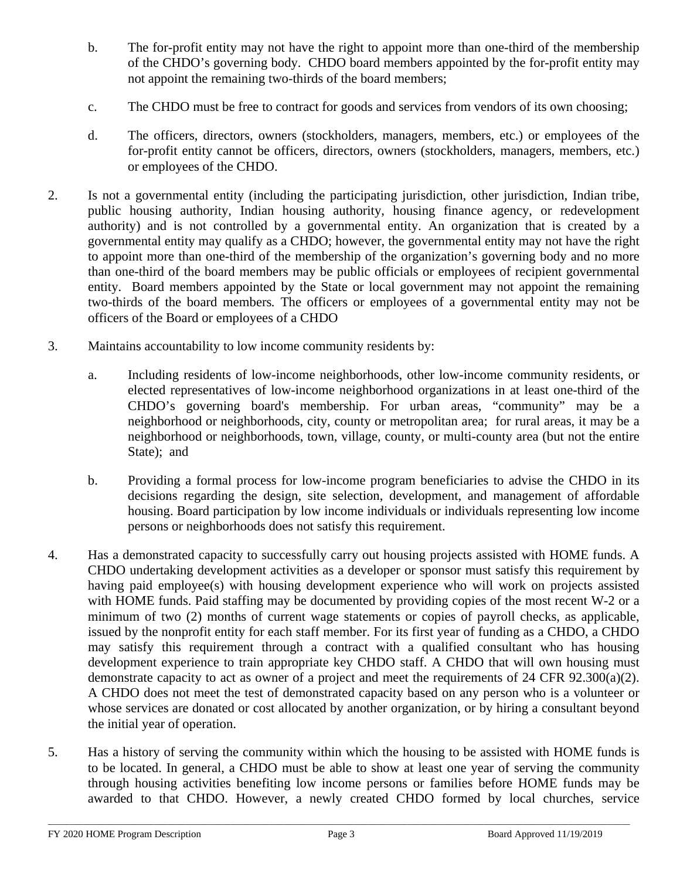- b. The for-profit entity may not have the right to appoint more than one-third of the membership of the CHDO's governing body. CHDO board members appointed by the for-profit entity may not appoint the remaining two-thirds of the board members;
- c. The CHDO must be free to contract for goods and services from vendors of its own choosing;
- d. The officers, directors, owners (stockholders, managers, members, etc.) or employees of the for-profit entity cannot be officers, directors, owners (stockholders, managers, members, etc.) or employees of the CHDO.
- 2. Is not a governmental entity (including the participating jurisdiction, other jurisdiction, Indian tribe, public housing authority, Indian housing authority, housing finance agency, or redevelopment authority) and is not controlled by a governmental entity. An organization that is created by a governmental entity may qualify as a CHDO; however, the governmental entity may not have the right to appoint more than one-third of the membership of the organization's governing body and no more than one-third of the board members may be public officials or employees of recipient governmental entity. Board members appointed by the State or local government may not appoint the remaining two-thirds of the board members*.* The officers or employees of a governmental entity may not be officers of the Board or employees of a CHDO
- 3. Maintains accountability to low income community residents by:
	- a. Including residents of low-income neighborhoods, other low-income community residents, or elected representatives of low-income neighborhood organizations in at least one-third of the CHDO's governing board's membership. For urban areas, "community" may be a neighborhood or neighborhoods, city, county or metropolitan area; for rural areas, it may be a neighborhood or neighborhoods, town, village, county, or multi-county area (but not the entire State); and
	- b. Providing a formal process for low-income program beneficiaries to advise the CHDO in its decisions regarding the design, site selection, development, and management of affordable housing. Board participation by low income individuals or individuals representing low income persons or neighborhoods does not satisfy this requirement.
- 4. Has a demonstrated capacity to successfully carry out housing projects assisted with HOME funds. A CHDO undertaking development activities as a developer or sponsor must satisfy this requirement by having paid employee(s) with housing development experience who will work on projects assisted with HOME funds. Paid staffing may be documented by providing copies of the most recent W-2 or a minimum of two (2) months of current wage statements or copies of payroll checks, as applicable, issued by the nonprofit entity for each staff member. For its first year of funding as a CHDO, a CHDO may satisfy this requirement through a contract with a qualified consultant who has housing development experience to train appropriate key CHDO staff. A CHDO that will own housing must demonstrate capacity to act as owner of a project and meet the requirements of 24 CFR 92.300(a)(2). A CHDO does not meet the test of demonstrated capacity based on any person who is a volunteer or whose services are donated or cost allocated by another organization, or by hiring a consultant beyond the initial year of operation.
- 5. Has a history of serving the community within which the housing to be assisted with HOME funds is to be located. In general, a CHDO must be able to show at least one year of serving the community through housing activities benefiting low income persons or families before HOME funds may be awarded to that CHDO. However, a newly created CHDO formed by local churches, service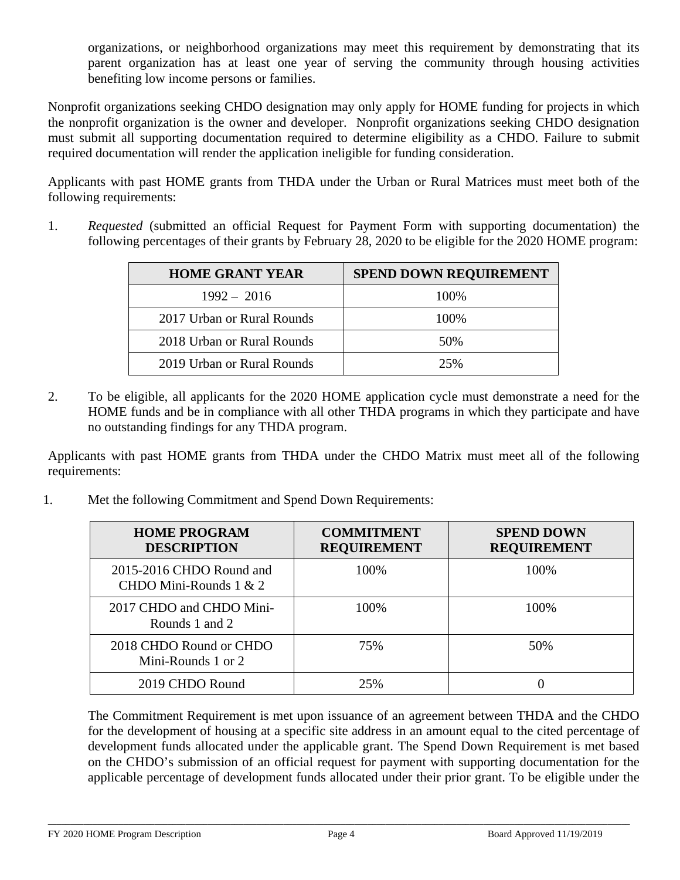organizations, or neighborhood organizations may meet this requirement by demonstrating that its parent organization has at least one year of serving the community through housing activities benefiting low income persons or families.

Nonprofit organizations seeking CHDO designation may only apply for HOME funding for projects in which the nonprofit organization is the owner and developer. Nonprofit organizations seeking CHDO designation must submit all supporting documentation required to determine eligibility as a CHDO. Failure to submit required documentation will render the application ineligible for funding consideration.

Applicants with past HOME grants from THDA under the Urban or Rural Matrices must meet both of the following requirements:

1. *Requested* (submitted an official Request for Payment Form with supporting documentation) the following percentages of their grants by February 28, 2020 to be eligible for the 2020 HOME program:

| <b>HOME GRANT YEAR</b>     | <b>SPEND DOWN REQUIREMENT</b> |
|----------------------------|-------------------------------|
| $1992 - 2016$              | 100%                          |
| 2017 Urban or Rural Rounds | 100%                          |
| 2018 Urban or Rural Rounds | 50%                           |
| 2019 Urban or Rural Rounds | 25%                           |

2. To be eligible, all applicants for the 2020 HOME application cycle must demonstrate a need for the HOME funds and be in compliance with all other THDA programs in which they participate and have no outstanding findings for any THDA program.

Applicants with past HOME grants from THDA under the CHDO Matrix must meet all of the following requirements:

1. Met the following Commitment and Spend Down Requirements:

| <b>HOME PROGRAM</b><br><b>DESCRIPTION</b>            | <b>COMMITMENT</b><br><b>REQUIREMENT</b> | <b>SPEND DOWN</b><br><b>REQUIREMENT</b> |
|------------------------------------------------------|-----------------------------------------|-----------------------------------------|
| 2015-2016 CHDO Round and<br>CHDO Mini-Rounds $1 & 2$ | 100%                                    | 100%                                    |
| 2017 CHDO and CHDO Mini-<br>Rounds 1 and 2           | 100%                                    | 100%                                    |
| 2018 CHDO Round or CHDO<br>Mini-Rounds 1 or 2        | 75%                                     | 50%                                     |
| 2019 CHDO Round                                      | 25%                                     |                                         |

The Commitment Requirement is met upon issuance of an agreement between THDA and the CHDO for the development of housing at a specific site address in an amount equal to the cited percentage of development funds allocated under the applicable grant. The Spend Down Requirement is met based on the CHDO's submission of an official request for payment with supporting documentation for the applicable percentage of development funds allocated under their prior grant. To be eligible under the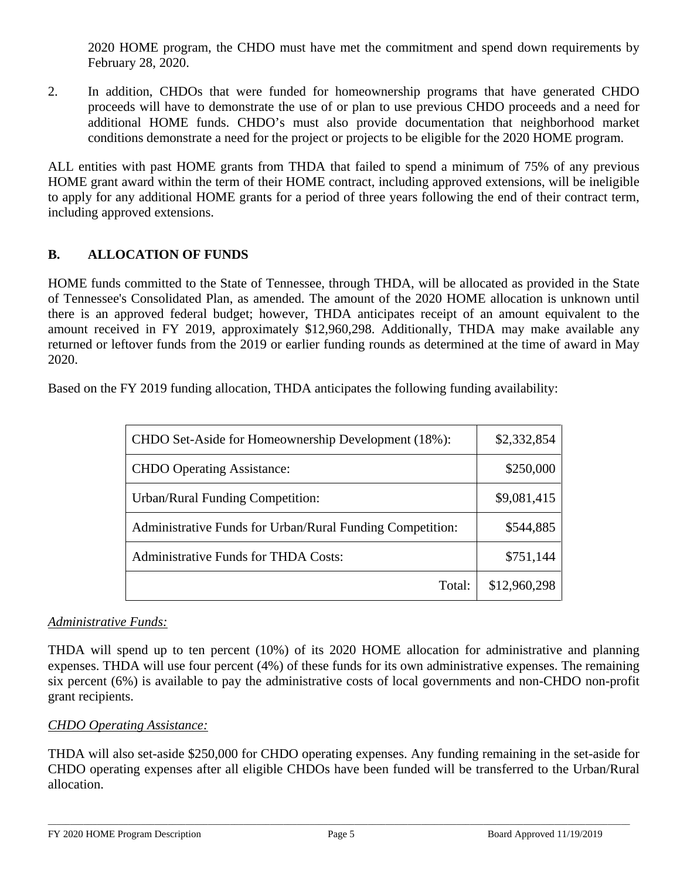2020 HOME program, the CHDO must have met the commitment and spend down requirements by February 28, 2020.

2. In addition, CHDOs that were funded for homeownership programs that have generated CHDO proceeds will have to demonstrate the use of or plan to use previous CHDO proceeds and a need for additional HOME funds. CHDO's must also provide documentation that neighborhood market conditions demonstrate a need for the project or projects to be eligible for the 2020 HOME program.

ALL entities with past HOME grants from THDA that failed to spend a minimum of 75% of any previous HOME grant award within the term of their HOME contract, including approved extensions, will be ineligible to apply for any additional HOME grants for a period of three years following the end of their contract term, including approved extensions.

# **B. ALLOCATION OF FUNDS**

HOME funds committed to the State of Tennessee, through THDA, will be allocated as provided in the State of Tennessee's Consolidated Plan, as amended. The amount of the 2020 HOME allocation is unknown until there is an approved federal budget; however, THDA anticipates receipt of an amount equivalent to the amount received in FY 2019, approximately \$12,960,298. Additionally, THDA may make available any returned or leftover funds from the 2019 or earlier funding rounds as determined at the time of award in May 2020.

Based on the FY 2019 funding allocation, THDA anticipates the following funding availability:

| CHDO Set-Aside for Homeownership Development (18%):       | \$2,332,854  |
|-----------------------------------------------------------|--------------|
| <b>CHDO</b> Operating Assistance:                         | \$250,000    |
| <b>Urban/Rural Funding Competition:</b>                   | \$9,081,415  |
| Administrative Funds for Urban/Rural Funding Competition: | \$544,885    |
| Administrative Funds for THDA Costs:                      | \$751,144    |
| Total:                                                    | \$12,960,298 |

### *Administrative Funds:*

THDA will spend up to ten percent (10%) of its 2020 HOME allocation for administrative and planning expenses. THDA will use four percent (4%) of these funds for its own administrative expenses. The remaining six percent (6%) is available to pay the administrative costs of local governments and non-CHDO non-profit grant recipients.

### *CHDO Operating Assistance:*

THDA will also set-aside \$250,000 for CHDO operating expenses. Any funding remaining in the set-aside for CHDO operating expenses after all eligible CHDOs have been funded will be transferred to the Urban/Rural allocation.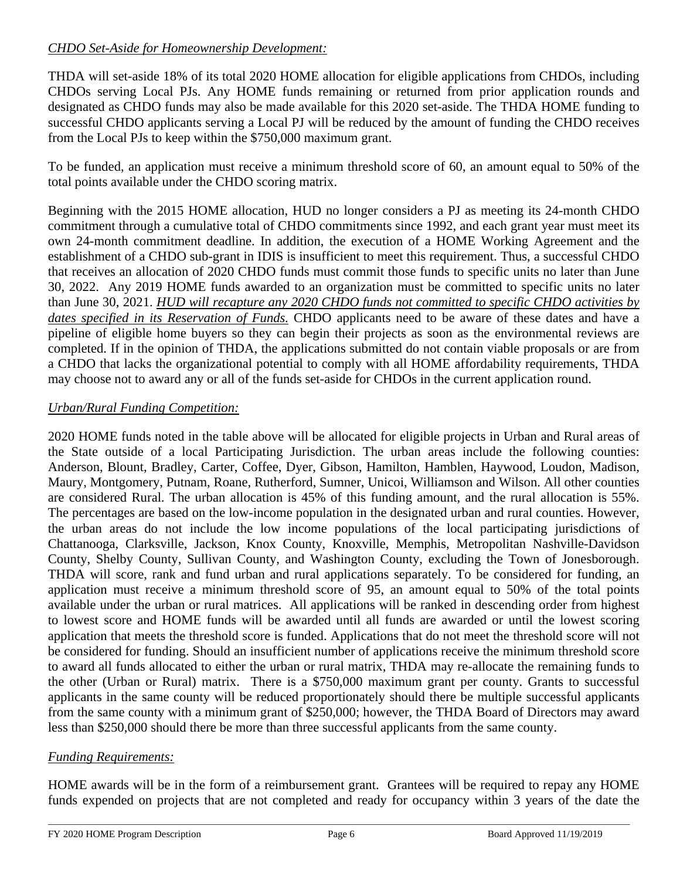# *CHDO Set-Aside for Homeownership Development:*

THDA will set-aside 18% of its total 2020 HOME allocation for eligible applications from CHDOs, including CHDOs serving Local PJs. Any HOME funds remaining or returned from prior application rounds and designated as CHDO funds may also be made available for this 2020 set-aside. The THDA HOME funding to successful CHDO applicants serving a Local PJ will be reduced by the amount of funding the CHDO receives from the Local PJs to keep within the \$750,000 maximum grant.

To be funded, an application must receive a minimum threshold score of 60, an amount equal to 50% of the total points available under the CHDO scoring matrix.

Beginning with the 2015 HOME allocation, HUD no longer considers a PJ as meeting its 24-month CHDO commitment through a cumulative total of CHDO commitments since 1992, and each grant year must meet its own 24-month commitment deadline. In addition, the execution of a HOME Working Agreement and the establishment of a CHDO sub-grant in IDIS is insufficient to meet this requirement. Thus, a successful CHDO that receives an allocation of 2020 CHDO funds must commit those funds to specific units no later than June 30, 2022. Any 2019 HOME funds awarded to an organization must be committed to specific units no later than June 30, 2021. *HUD will recapture any 2020 CHDO funds not committed to specific CHDO activities by dates specified in its Reservation of Funds.* CHDO applicants need to be aware of these dates and have a pipeline of eligible home buyers so they can begin their projects as soon as the environmental reviews are completed. If in the opinion of THDA, the applications submitted do not contain viable proposals or are from a CHDO that lacks the organizational potential to comply with all HOME affordability requirements, THDA may choose not to award any or all of the funds set-aside for CHDOs in the current application round.

# *Urban/Rural Funding Competition:*

2020 HOME funds noted in the table above will be allocated for eligible projects in Urban and Rural areas of the State outside of a local Participating Jurisdiction. The urban areas include the following counties: Anderson, Blount, Bradley, Carter, Coffee, Dyer, Gibson, Hamilton, Hamblen, Haywood, Loudon, Madison, Maury, Montgomery, Putnam, Roane, Rutherford, Sumner, Unicoi, Williamson and Wilson. All other counties are considered Rural. The urban allocation is 45% of this funding amount, and the rural allocation is 55%. The percentages are based on the low-income population in the designated urban and rural counties. However, the urban areas do not include the low income populations of the local participating jurisdictions of Chattanooga, Clarksville, Jackson, Knox County, Knoxville, Memphis, Metropolitan Nashville-Davidson County, Shelby County, Sullivan County, and Washington County, excluding the Town of Jonesborough. THDA will score, rank and fund urban and rural applications separately. To be considered for funding, an application must receive a minimum threshold score of 95, an amount equal to 50% of the total points available under the urban or rural matrices. All applications will be ranked in descending order from highest to lowest score and HOME funds will be awarded until all funds are awarded or until the lowest scoring application that meets the threshold score is funded. Applications that do not meet the threshold score will not be considered for funding. Should an insufficient number of applications receive the minimum threshold score to award all funds allocated to either the urban or rural matrix, THDA may re-allocate the remaining funds to the other (Urban or Rural) matrix. There is a \$750,000 maximum grant per county. Grants to successful applicants in the same county will be reduced proportionately should there be multiple successful applicants from the same county with a minimum grant of \$250,000; however, the THDA Board of Directors may award less than \$250,000 should there be more than three successful applicants from the same county.

# *Funding Requirements:*

HOME awards will be in the form of a reimbursement grant. Grantees will be required to repay any HOME funds expended on projects that are not completed and ready for occupancy within 3 years of the date the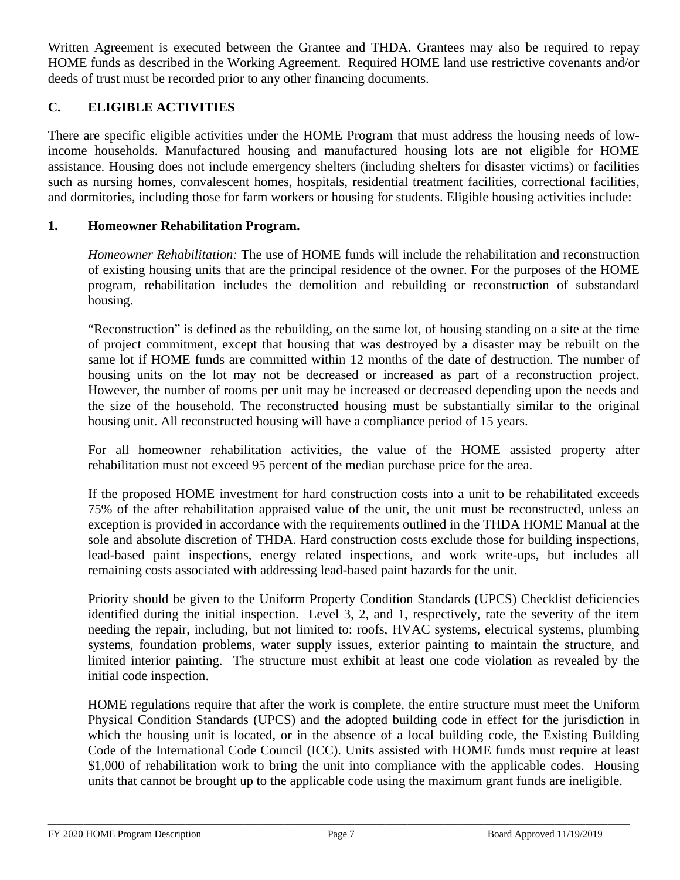Written Agreement is executed between the Grantee and THDA. Grantees may also be required to repay HOME funds as described in the Working Agreement. Required HOME land use restrictive covenants and/or deeds of trust must be recorded prior to any other financing documents.

# **C. ELIGIBLE ACTIVITIES**

There are specific eligible activities under the HOME Program that must address the housing needs of lowincome households. Manufactured housing and manufactured housing lots are not eligible for HOME assistance. Housing does not include emergency shelters (including shelters for disaster victims) or facilities such as nursing homes, convalescent homes, hospitals, residential treatment facilities, correctional facilities, and dormitories, including those for farm workers or housing for students. Eligible housing activities include:

#### **1. Homeowner Rehabilitation Program.**

*Homeowner Rehabilitation:* The use of HOME funds will include the rehabilitation and reconstruction of existing housing units that are the principal residence of the owner. For the purposes of the HOME program, rehabilitation includes the demolition and rebuilding or reconstruction of substandard housing.

"Reconstruction" is defined as the rebuilding, on the same lot, of housing standing on a site at the time of project commitment, except that housing that was destroyed by a disaster may be rebuilt on the same lot if HOME funds are committed within 12 months of the date of destruction. The number of housing units on the lot may not be decreased or increased as part of a reconstruction project. However, the number of rooms per unit may be increased or decreased depending upon the needs and the size of the household. The reconstructed housing must be substantially similar to the original housing unit. All reconstructed housing will have a compliance period of 15 years.

For all homeowner rehabilitation activities, the value of the HOME assisted property after rehabilitation must not exceed 95 percent of the median purchase price for the area.

If the proposed HOME investment for hard construction costs into a unit to be rehabilitated exceeds 75% of the after rehabilitation appraised value of the unit, the unit must be reconstructed, unless an exception is provided in accordance with the requirements outlined in the THDA HOME Manual at the sole and absolute discretion of THDA. Hard construction costs exclude those for building inspections, lead-based paint inspections, energy related inspections, and work write-ups, but includes all remaining costs associated with addressing lead-based paint hazards for the unit.

Priority should be given to the Uniform Property Condition Standards (UPCS) Checklist deficiencies identified during the initial inspection. Level 3, 2, and 1, respectively, rate the severity of the item needing the repair, including, but not limited to: roofs, HVAC systems, electrical systems, plumbing systems, foundation problems, water supply issues, exterior painting to maintain the structure, and limited interior painting. The structure must exhibit at least one code violation as revealed by the initial code inspection.

HOME regulations require that after the work is complete, the entire structure must meet the Uniform Physical Condition Standards (UPCS) and the adopted building code in effect for the jurisdiction in which the housing unit is located, or in the absence of a local building code, the Existing Building Code of the International Code Council (ICC). Units assisted with HOME funds must require at least \$1,000 of rehabilitation work to bring the unit into compliance with the applicable codes. Housing units that cannot be brought up to the applicable code using the maximum grant funds are ineligible.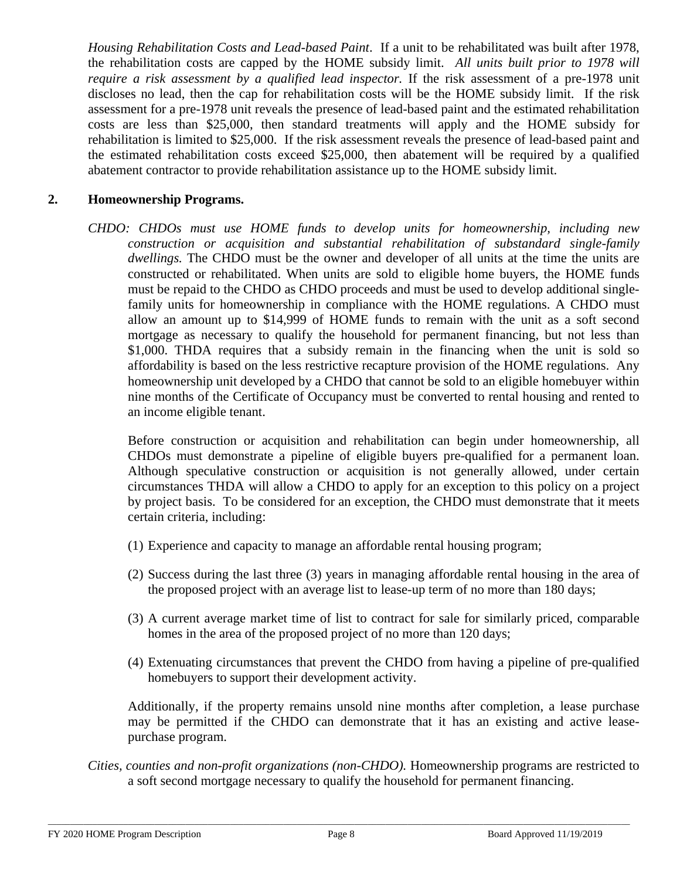*Housing Rehabilitation Costs and Lead-based Paint*. If a unit to be rehabilitated was built after 1978, the rehabilitation costs are capped by the HOME subsidy limit. *All units built prior to 1978 will require a risk assessment by a qualified lead inspector.* If the risk assessment of a pre-1978 unit discloses no lead, then the cap for rehabilitation costs will be the HOME subsidy limit. If the risk assessment for a pre-1978 unit reveals the presence of lead-based paint and the estimated rehabilitation costs are less than \$25,000, then standard treatments will apply and the HOME subsidy for rehabilitation is limited to \$25,000. If the risk assessment reveals the presence of lead-based paint and the estimated rehabilitation costs exceed \$25,000, then abatement will be required by a qualified abatement contractor to provide rehabilitation assistance up to the HOME subsidy limit.

#### **2. Homeownership Programs.**

*CHDO: CHDOs must use HOME funds to develop units for homeownership, including new construction or acquisition and substantial rehabilitation of substandard single-family dwellings.* The CHDO must be the owner and developer of all units at the time the units are constructed or rehabilitated. When units are sold to eligible home buyers, the HOME funds must be repaid to the CHDO as CHDO proceeds and must be used to develop additional singlefamily units for homeownership in compliance with the HOME regulations. A CHDO must allow an amount up to \$14,999 of HOME funds to remain with the unit as a soft second mortgage as necessary to qualify the household for permanent financing, but not less than \$1,000. THDA requires that a subsidy remain in the financing when the unit is sold so affordability is based on the less restrictive recapture provision of the HOME regulations. Any homeownership unit developed by a CHDO that cannot be sold to an eligible homebuyer within nine months of the Certificate of Occupancy must be converted to rental housing and rented to an income eligible tenant.

Before construction or acquisition and rehabilitation can begin under homeownership, all CHDOs must demonstrate a pipeline of eligible buyers pre-qualified for a permanent loan. Although speculative construction or acquisition is not generally allowed, under certain circumstances THDA will allow a CHDO to apply for an exception to this policy on a project by project basis. To be considered for an exception, the CHDO must demonstrate that it meets certain criteria, including:

- (1) Experience and capacity to manage an affordable rental housing program;
- (2) Success during the last three (3) years in managing affordable rental housing in the area of the proposed project with an average list to lease-up term of no more than 180 days;
- (3) A current average market time of list to contract for sale for similarly priced, comparable homes in the area of the proposed project of no more than 120 days;
- (4) Extenuating circumstances that prevent the CHDO from having a pipeline of pre-qualified homebuyers to support their development activity.

Additionally, if the property remains unsold nine months after completion, a lease purchase may be permitted if the CHDO can demonstrate that it has an existing and active leasepurchase program.

*Cities, counties and non-profit organizations (non-CHDO).* Homeownership programs are restricted to a soft second mortgage necessary to qualify the household for permanent financing.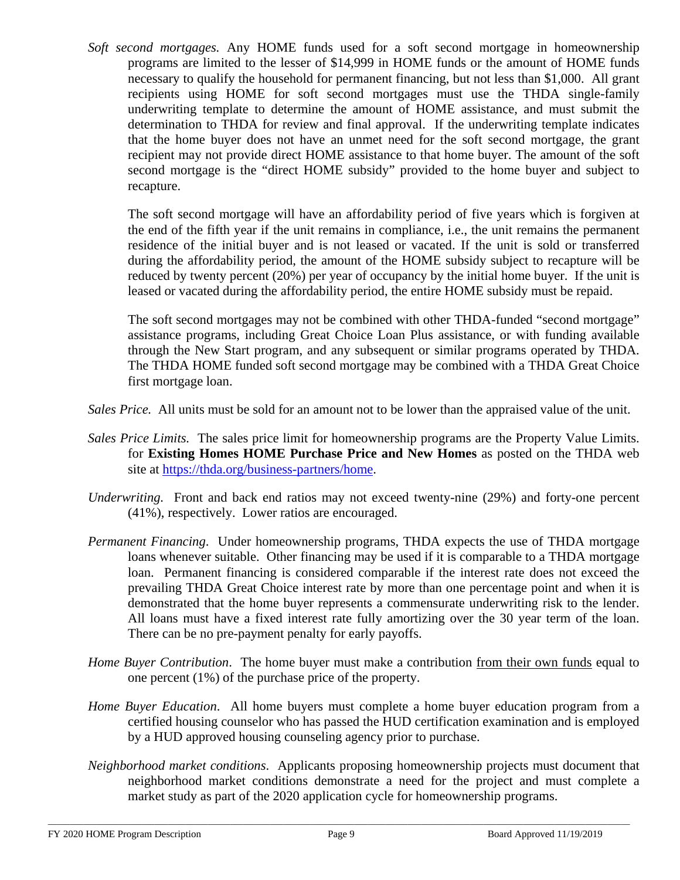*Soft second mortgages.* Any HOME funds used for a soft second mortgage in homeownership programs are limited to the lesser of \$14,999 in HOME funds or the amount of HOME funds necessary to qualify the household for permanent financing, but not less than \$1,000. All grant recipients using HOME for soft second mortgages must use the THDA single-family underwriting template to determine the amount of HOME assistance, and must submit the determination to THDA for review and final approval. If the underwriting template indicates that the home buyer does not have an unmet need for the soft second mortgage, the grant recipient may not provide direct HOME assistance to that home buyer. The amount of the soft second mortgage is the "direct HOME subsidy" provided to the home buyer and subject to recapture.

The soft second mortgage will have an affordability period of five years which is forgiven at the end of the fifth year if the unit remains in compliance, i.e., the unit remains the permanent residence of the initial buyer and is not leased or vacated. If the unit is sold or transferred during the affordability period, the amount of the HOME subsidy subject to recapture will be reduced by twenty percent (20%) per year of occupancy by the initial home buyer. If the unit is leased or vacated during the affordability period, the entire HOME subsidy must be repaid.

The soft second mortgages may not be combined with other THDA-funded "second mortgage" assistance programs, including Great Choice Loan Plus assistance, or with funding available through the New Start program, and any subsequent or similar programs operated by THDA. The THDA HOME funded soft second mortgage may be combined with a THDA Great Choice first mortgage loan.

*Sales Price.* All units must be sold for an amount not to be lower than the appraised value of the unit.

- *Sales Price Limits.* The sales price limit for homeownership programs are the Property Value Limits. for **Existing Homes HOME Purchase Price and New Homes** as posted on the THDA web site at [https://thda.org/business-partners/home.](https://thda.org/business-partners/home)
- *Underwriting.* Front and back end ratios may not exceed twenty-nine (29%) and forty-one percent (41%), respectively. Lower ratios are encouraged.
- *Permanent Financing*. Under homeownership programs, THDA expects the use of THDA mortgage loans whenever suitable. Other financing may be used if it is comparable to a THDA mortgage loan. Permanent financing is considered comparable if the interest rate does not exceed the prevailing THDA Great Choice interest rate by more than one percentage point and when it is demonstrated that the home buyer represents a commensurate underwriting risk to the lender. All loans must have a fixed interest rate fully amortizing over the 30 year term of the loan. There can be no pre-payment penalty for early payoffs.
- *Home Buyer Contribution*. The home buyer must make a contribution from their own funds equal to one percent (1%) of the purchase price of the property.
- *Home Buyer Education*. All home buyers must complete a home buyer education program from a certified housing counselor who has passed the HUD certification examination and is employed by a HUD approved housing counseling agency prior to purchase.
- *Neighborhood market conditions*. Applicants proposing homeownership projects must document that neighborhood market conditions demonstrate a need for the project and must complete a market study as part of the 2020 application cycle for homeownership programs.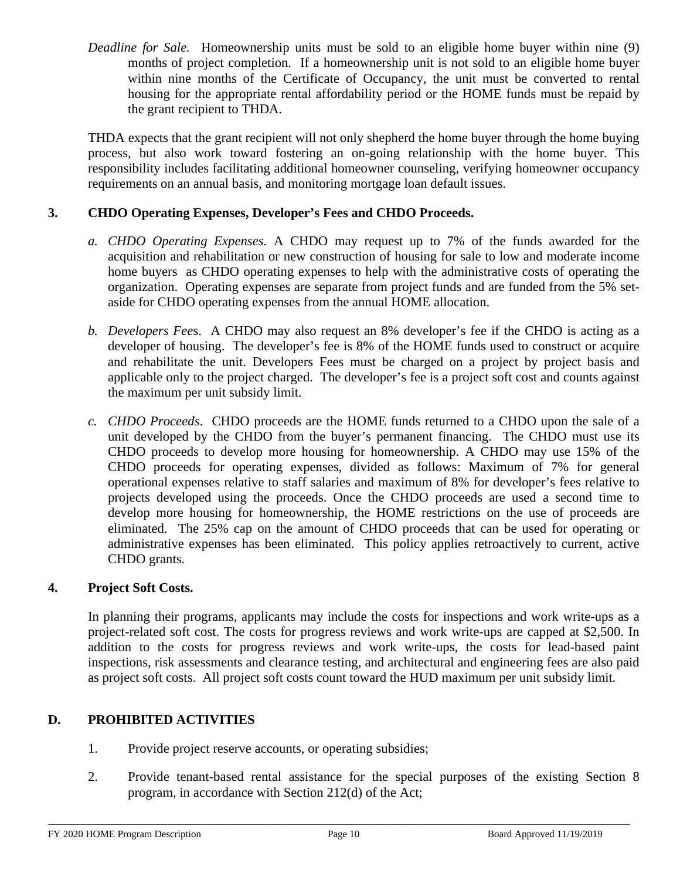*Deadline for Sale.* Homeownership units must be sold to an eligible home buyer within nine (9) months of project completion. If a homeownership unit is not sold to an eligible home buyer within nine months of the Certificate of Occupancy, the unit must be converted to rental housing for the appropriate rental affordability period or the HOME funds must be repaid by the grant recipient to THDA.

THDA expects that the grant recipient will not only shepherd the home buyer through the home buying process, but also work toward fostering an on-going relationship with the home buyer. This responsibility includes facilitating additional homeowner counseling, verifying homeowner occupancy requirements on an annual basis, and monitoring mortgage loan default issues.

## **3. CHDO Operating Expenses, Developer's Fees and CHDO Proceeds.**

- *a. CHDO Operating Expenses.* A CHDO may request up to 7% of the funds awarded for the acquisition and rehabilitation or new construction of housing for sale to low and moderate income home buyers as CHDO operating expenses to help with the administrative costs of operating the organization. Operating expenses are separate from project funds and are funded from the 5% setaside for CHDO operating expenses from the annual HOME allocation.
- *b. Developers Fee*s. A CHDO may also request an 8% developer's fee if the CHDO is acting as a developer of housing. The developer's fee is 8% of the HOME funds used to construct or acquire and rehabilitate the unit. Developers Fees must be charged on a project by project basis and applicable only to the project charged. The developer's fee is a project soft cost and counts against the maximum per unit subsidy limit.
- *c. CHDO Proceeds*. CHDO proceeds are the HOME funds returned to a CHDO upon the sale of a unit developed by the CHDO from the buyer's permanent financing. The CHDO must use its CHDO proceeds to develop more housing for homeownership. A CHDO may use 15% of the CHDO proceeds for operating expenses, divided as follows: Maximum of 7% for general operational expenses relative to staff salaries and maximum of 8% for developer's fees relative to projects developed using the proceeds. Once the CHDO proceeds are used a second time to develop more housing for homeownership, the HOME restrictions on the use of proceeds are eliminated. The 25% cap on the amount of CHDO proceeds that can be used for operating or administrative expenses has been eliminated. This policy applies retroactively to current, active CHDO grants.

### **4. Project Soft Costs.**

In planning their programs, applicants may include the costs for inspections and work write-ups as a project-related soft cost. The costs for progress reviews and work write-ups are capped at \$2,500. In addition to the costs for progress reviews and work write-ups, the costs for lead-based paint inspections, risk assessments and clearance testing, and architectural and engineering fees are also paid as project soft costs. All project soft costs count toward the HUD maximum per unit subsidy limit.

### **D. PROHIBITED ACTIVITIES**

- 1. Provide project reserve accounts, or operating subsidies;
- 2. Provide tenant-based rental assistance for the special purposes of the existing Section 8 program, in accordance with Section 212(d) of the Act;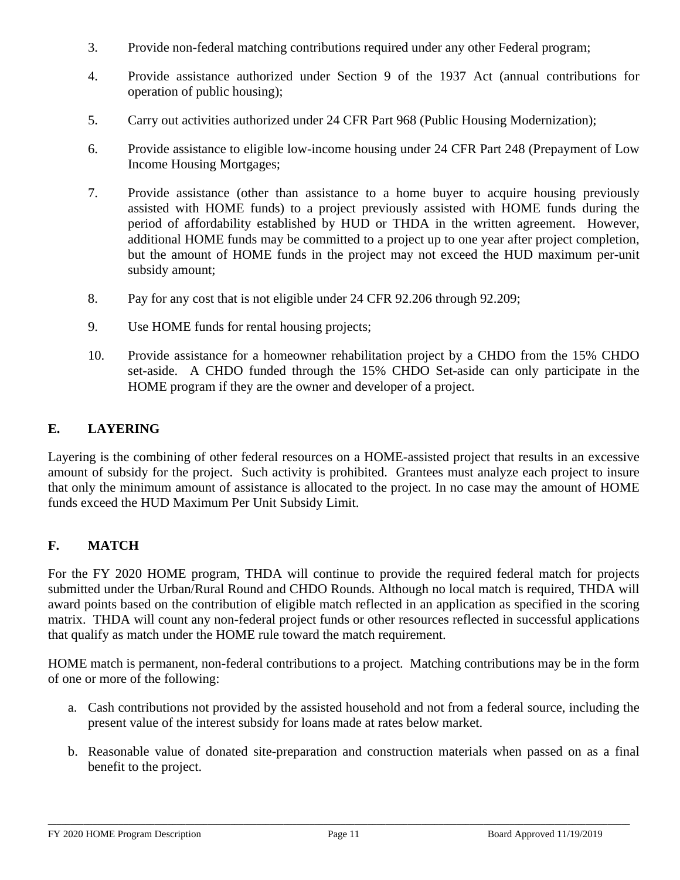- 3. Provide non-federal matching contributions required under any other Federal program;
- 4. Provide assistance authorized under Section 9 of the 1937 Act (annual contributions for operation of public housing);
- 5. Carry out activities authorized under 24 CFR Part 968 (Public Housing Modernization);
- 6. Provide assistance to eligible low-income housing under 24 CFR Part 248 (Prepayment of Low Income Housing Mortgages;
- 7. Provide assistance (other than assistance to a home buyer to acquire housing previously assisted with HOME funds) to a project previously assisted with HOME funds during the period of affordability established by HUD or THDA in the written agreement. However, additional HOME funds may be committed to a project up to one year after project completion, but the amount of HOME funds in the project may not exceed the HUD maximum per-unit subsidy amount;
- 8. Pay for any cost that is not eligible under 24 CFR 92.206 through 92.209;
- 9. Use HOME funds for rental housing projects;
- 10. Provide assistance for a homeowner rehabilitation project by a CHDO from the 15% CHDO set-aside. A CHDO funded through the 15% CHDO Set-aside can only participate in the HOME program if they are the owner and developer of a project.

# **E. LAYERING**

Layering is the combining of other federal resources on a HOME-assisted project that results in an excessive amount of subsidy for the project. Such activity is prohibited. Grantees must analyze each project to insure that only the minimum amount of assistance is allocated to the project. In no case may the amount of HOME funds exceed the HUD Maximum Per Unit Subsidy Limit.

# **F. MATCH**

For the FY 2020 HOME program, THDA will continue to provide the required federal match for projects submitted under the Urban/Rural Round and CHDO Rounds. Although no local match is required, THDA will award points based on the contribution of eligible match reflected in an application as specified in the scoring matrix. THDA will count any non-federal project funds or other resources reflected in successful applications that qualify as match under the HOME rule toward the match requirement.

HOME match is permanent, non-federal contributions to a project. Matching contributions may be in the form of one or more of the following:

- a. Cash contributions not provided by the assisted household and not from a federal source, including the present value of the interest subsidy for loans made at rates below market.
- b. Reasonable value of donated site-preparation and construction materials when passed on as a final benefit to the project.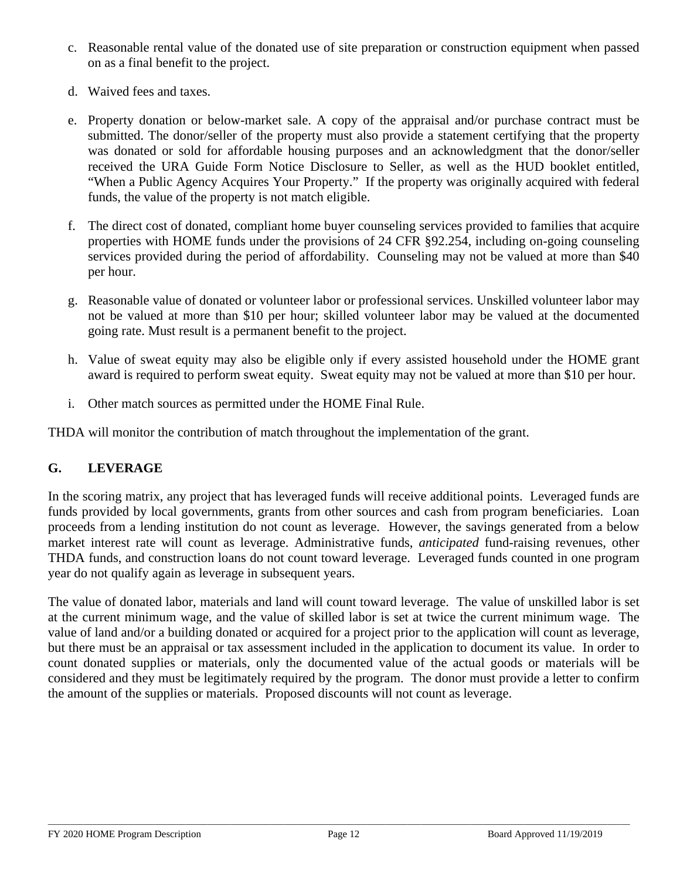- c. Reasonable rental value of the donated use of site preparation or construction equipment when passed on as a final benefit to the project.
- d. Waived fees and taxes.
- e. Property donation or below-market sale. A copy of the appraisal and/or purchase contract must be submitted. The donor/seller of the property must also provide a statement certifying that the property was donated or sold for affordable housing purposes and an acknowledgment that the donor/seller received the URA Guide Form Notice Disclosure to Seller, as well as the HUD booklet entitled, "When a Public Agency Acquires Your Property." If the property was originally acquired with federal funds, the value of the property is not match eligible.
- f. The direct cost of donated, compliant home buyer counseling services provided to families that acquire properties with HOME funds under the provisions of 24 CFR §92.254, including on-going counseling services provided during the period of affordability. Counseling may not be valued at more than \$40 per hour.
- g. Reasonable value of donated or volunteer labor or professional services. Unskilled volunteer labor may not be valued at more than \$10 per hour; skilled volunteer labor may be valued at the documented going rate. Must result is a permanent benefit to the project.
- h. Value of sweat equity may also be eligible only if every assisted household under the HOME grant award is required to perform sweat equity. Sweat equity may not be valued at more than \$10 per hour.
- i. Other match sources as permitted under the HOME Final Rule.

THDA will monitor the contribution of match throughout the implementation of the grant.

# **G. LEVERAGE**

In the scoring matrix, any project that has leveraged funds will receive additional points. Leveraged funds are funds provided by local governments, grants from other sources and cash from program beneficiaries. Loan proceeds from a lending institution do not count as leverage. However, the savings generated from a below market interest rate will count as leverage. Administrative funds, *anticipated* fund-raising revenues, other THDA funds, and construction loans do not count toward leverage. Leveraged funds counted in one program year do not qualify again as leverage in subsequent years.

The value of donated labor, materials and land will count toward leverage. The value of unskilled labor is set at the current minimum wage, and the value of skilled labor is set at twice the current minimum wage. The value of land and/or a building donated or acquired for a project prior to the application will count as leverage, but there must be an appraisal or tax assessment included in the application to document its value. In order to count donated supplies or materials, only the documented value of the actual goods or materials will be considered and they must be legitimately required by the program. The donor must provide a letter to confirm the amount of the supplies or materials. Proposed discounts will not count as leverage.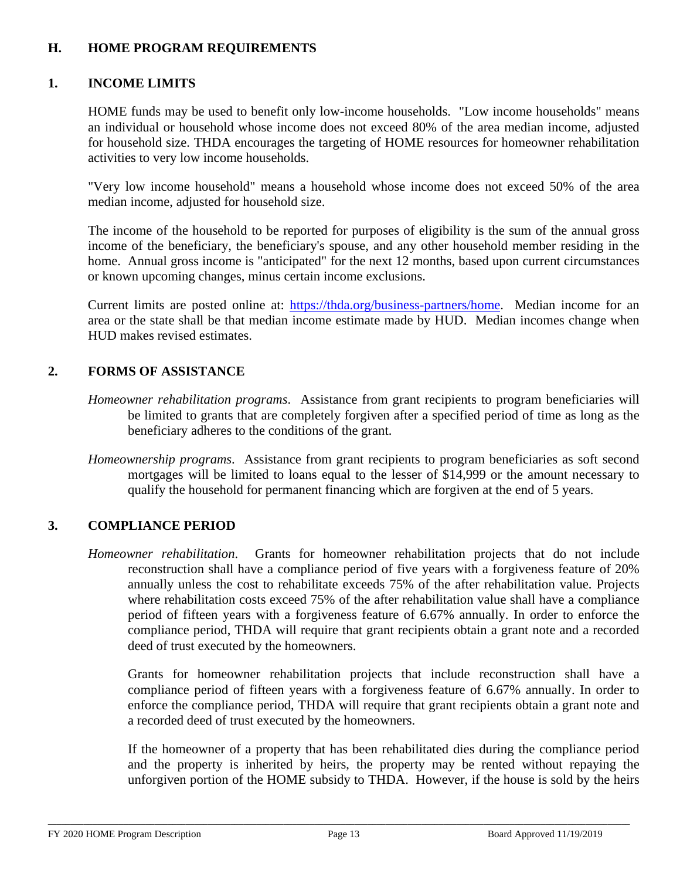### **H. HOME PROGRAM REQUIREMENTS**

### **1. INCOME LIMITS**

HOME funds may be used to benefit only low-income households. "Low income households" means an individual or household whose income does not exceed 80% of the area median income, adjusted for household size. THDA encourages the targeting of HOME resources for homeowner rehabilitation activities to very low income households.

"Very low income household" means a household whose income does not exceed 50% of the area median income, adjusted for household size.

The income of the household to be reported for purposes of eligibility is the sum of the annual gross income of the beneficiary, the beneficiary's spouse, and any other household member residing in the home. Annual gross income is "anticipated" for the next 12 months, based upon current circumstances or known upcoming changes, minus certain income exclusions.

Current limits are posted online at: [https://thda.org/business-partners/home.](https://thda.org/business-partners/home) Median income for an area or the state shall be that median income estimate made by HUD. Median incomes change when HUD makes revised estimates.

### **2. FORMS OF ASSISTANCE**

- *Homeowner rehabilitation programs*. Assistance from grant recipients to program beneficiaries will be limited to grants that are completely forgiven after a specified period of time as long as the beneficiary adheres to the conditions of the grant.
- *Homeownership programs*. Assistance from grant recipients to program beneficiaries as soft second mortgages will be limited to loans equal to the lesser of \$14,999 or the amount necessary to qualify the household for permanent financing which are forgiven at the end of 5 years.

# **3. COMPLIANCE PERIOD**

*Homeowner rehabilitation*.Grants for homeowner rehabilitation projects that do not include reconstruction shall have a compliance period of five years with a forgiveness feature of 20% annually unless the cost to rehabilitate exceeds 75% of the after rehabilitation value. Projects where rehabilitation costs exceed 75% of the after rehabilitation value shall have a compliance period of fifteen years with a forgiveness feature of 6.67% annually. In order to enforce the compliance period, THDA will require that grant recipients obtain a grant note and a recorded deed of trust executed by the homeowners.

Grants for homeowner rehabilitation projects that include reconstruction shall have a compliance period of fifteen years with a forgiveness feature of 6.67% annually. In order to enforce the compliance period, THDA will require that grant recipients obtain a grant note and a recorded deed of trust executed by the homeowners.

If the homeowner of a property that has been rehabilitated dies during the compliance period and the property is inherited by heirs, the property may be rented without repaying the unforgiven portion of the HOME subsidy to THDA. However, if the house is sold by the heirs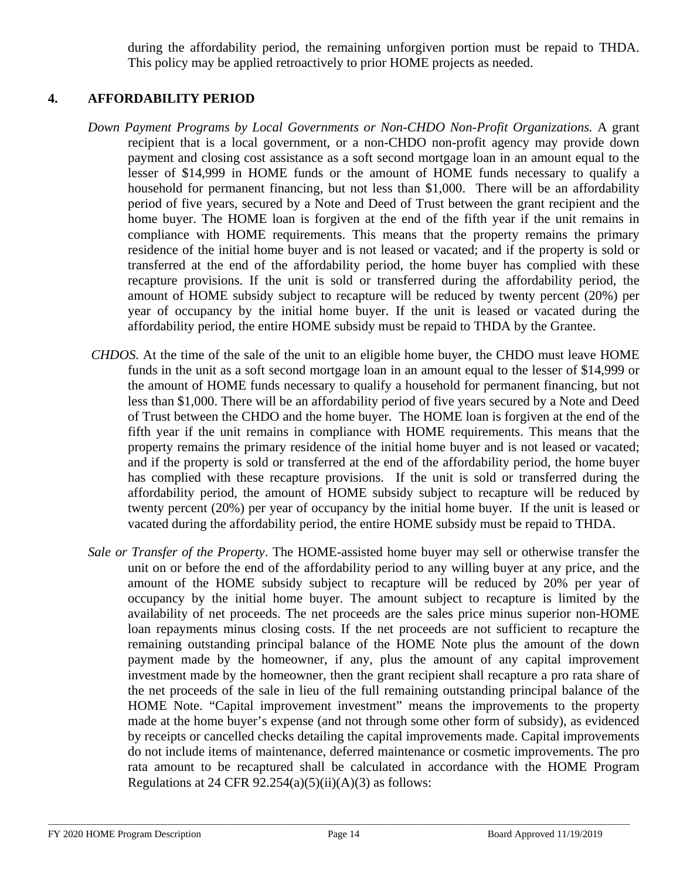during the affordability period, the remaining unforgiven portion must be repaid to THDA. This policy may be applied retroactively to prior HOME projects as needed.

### **4. AFFORDABILITY PERIOD**

- *Down Payment Programs by Local Governments or Non-CHDO Non-Profit Organizations.* A grant recipient that is a local government, or a non-CHDO non-profit agency may provide down payment and closing cost assistance as a soft second mortgage loan in an amount equal to the lesser of \$14,999 in HOME funds or the amount of HOME funds necessary to qualify a household for permanent financing, but not less than \$1,000. There will be an affordability period of five years, secured by a Note and Deed of Trust between the grant recipient and the home buyer. The HOME loan is forgiven at the end of the fifth year if the unit remains in compliance with HOME requirements. This means that the property remains the primary residence of the initial home buyer and is not leased or vacated; and if the property is sold or transferred at the end of the affordability period, the home buyer has complied with these recapture provisions. If the unit is sold or transferred during the affordability period, the amount of HOME subsidy subject to recapture will be reduced by twenty percent (20%) per year of occupancy by the initial home buyer. If the unit is leased or vacated during the affordability period, the entire HOME subsidy must be repaid to THDA by the Grantee.
- *CHDOS*. At the time of the sale of the unit to an eligible home buyer, the CHDO must leave HOME funds in the unit as a soft second mortgage loan in an amount equal to the lesser of \$14,999 or the amount of HOME funds necessary to qualify a household for permanent financing, but not less than \$1,000. There will be an affordability period of five years secured by a Note and Deed of Trust between the CHDO and the home buyer. The HOME loan is forgiven at the end of the fifth year if the unit remains in compliance with HOME requirements. This means that the property remains the primary residence of the initial home buyer and is not leased or vacated; and if the property is sold or transferred at the end of the affordability period, the home buyer has complied with these recapture provisions. If the unit is sold or transferred during the affordability period, the amount of HOME subsidy subject to recapture will be reduced by twenty percent (20%) per year of occupancy by the initial home buyer. If the unit is leased or vacated during the affordability period, the entire HOME subsidy must be repaid to THDA.
- *Sale or Transfer of the Property*. The HOME-assisted home buyer may sell or otherwise transfer the unit on or before the end of the affordability period to any willing buyer at any price, and the amount of the HOME subsidy subject to recapture will be reduced by 20% per year of occupancy by the initial home buyer. The amount subject to recapture is limited by the availability of net proceeds. The net proceeds are the sales price minus superior non-HOME loan repayments minus closing costs. If the net proceeds are not sufficient to recapture the remaining outstanding principal balance of the HOME Note plus the amount of the down payment made by the homeowner, if any, plus the amount of any capital improvement investment made by the homeowner, then the grant recipient shall recapture a pro rata share of the net proceeds of the sale in lieu of the full remaining outstanding principal balance of the HOME Note. "Capital improvement investment" means the improvements to the property made at the home buyer's expense (and not through some other form of subsidy), as evidenced by receipts or cancelled checks detailing the capital improvements made. Capital improvements do not include items of maintenance, deferred maintenance or cosmetic improvements. The pro rata amount to be recaptured shall be calculated in accordance with the HOME Program Regulations at 24 CFR  $92.254(a)(5)(ii)(A)(3)$  as follows: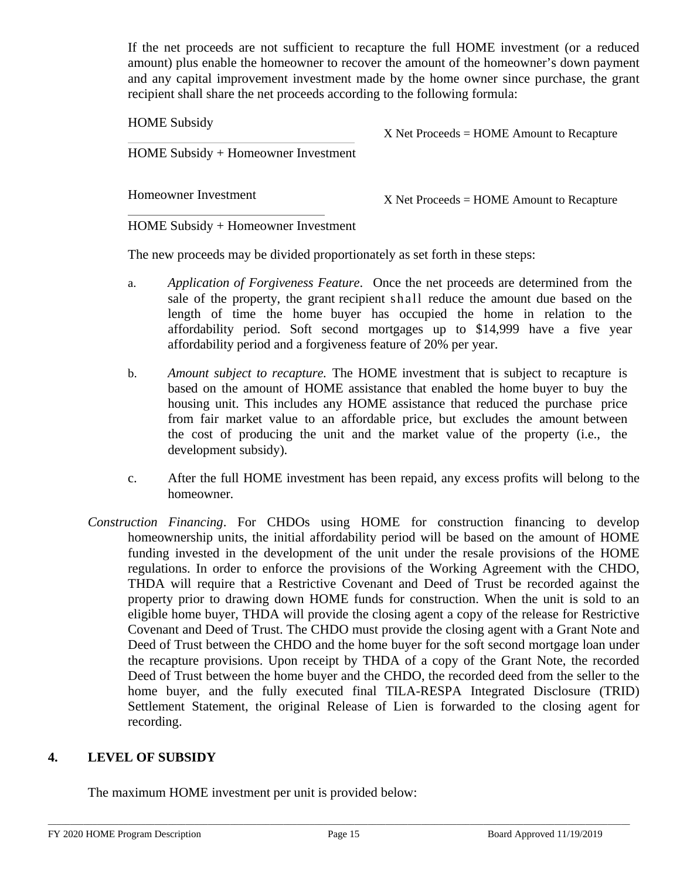If the net proceeds are not sufficient to recapture the full HOME investment (or a reduced amount) plus enable the homeowner to recover the amount of the homeowner's down payment and any capital improvement investment made by the home owner since purchase, the grant recipient shall share the net proceeds according to the following formula:

HOME Subsidy

X Net Proceeds = HOME Amount to Recapture

HOME Subsidy + Homeowner Investment

Homeowner Investment

X Net Proceeds = HOME Amount to Recapture

HOME Subsidy + Homeowner Investment

The new proceeds may be divided proportionately as set forth in these steps:

- a. *Application of Forgiveness Feature*. Once the net proceeds are determined from the sale of the property, the grant recipient shall reduce the amount due based on the length of time the home buyer has occupied the home in relation to the affordability period. Soft second mortgages up to \$14,999 have a five year affordability period and a forgiveness feature of 20% per year.
- b. *Amount subject to recapture.* The HOME investment that is subject to recapture is based on the amount of HOME assistance that enabled the home buyer to buy the housing unit. This includes any HOME assistance that reduced the purchase price from fair market value to an affordable price, but excludes the amount between the cost of producing the unit and the market value of the property (i.e., the development subsidy).
- c. After the full HOME investment has been repaid, any excess profits will belong to the homeowner.
- *Construction Financing*. For CHDOs using HOME for construction financing to develop homeownership units, the initial affordability period will be based on the amount of HOME funding invested in the development of the unit under the resale provisions of the HOME regulations. In order to enforce the provisions of the Working Agreement with the CHDO, THDA will require that a Restrictive Covenant and Deed of Trust be recorded against the property prior to drawing down HOME funds for construction. When the unit is sold to an eligible home buyer, THDA will provide the closing agent a copy of the release for Restrictive Covenant and Deed of Trust. The CHDO must provide the closing agent with a Grant Note and Deed of Trust between the CHDO and the home buyer for the soft second mortgage loan under the recapture provisions. Upon receipt by THDA of a copy of the Grant Note, the recorded Deed of Trust between the home buyer and the CHDO, the recorded deed from the seller to the home buyer, and the fully executed final TILA-RESPA Integrated Disclosure (TRID) Settlement Statement, the original Release of Lien is forwarded to the closing agent for recording.

### **4. LEVEL OF SUBSIDY**

The maximum HOME investment per unit is provided below: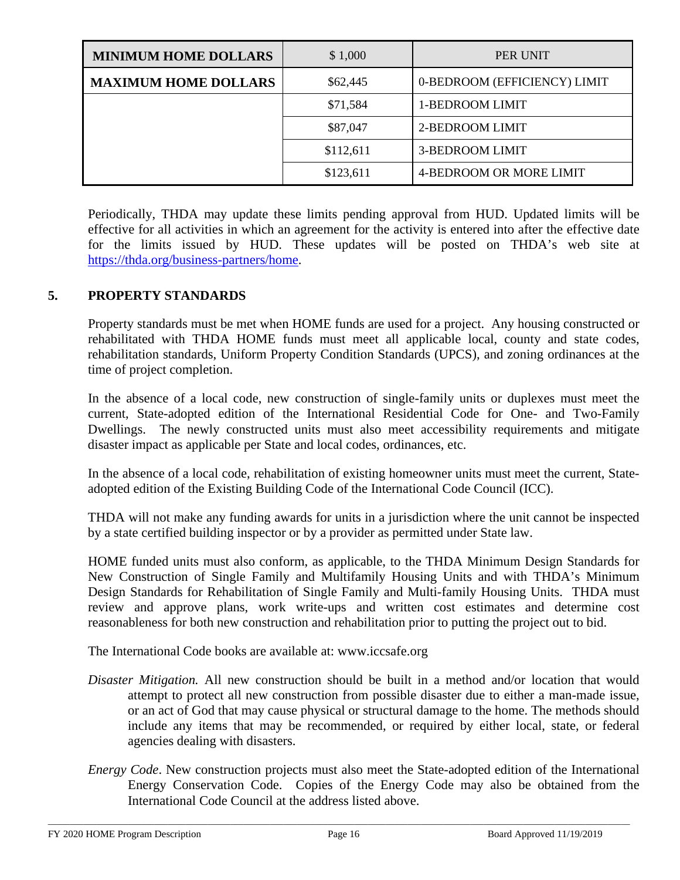| <b>MINIMUM HOME DOLLARS</b> | \$1,000   | PER UNIT                     |
|-----------------------------|-----------|------------------------------|
| <b>MAXIMUM HOME DOLLARS</b> | \$62,445  | 0-BEDROOM (EFFICIENCY) LIMIT |
|                             | \$71,584  | 1-BEDROOM LIMIT              |
|                             | \$87,047  | 2-BEDROOM LIMIT              |
|                             | \$112,611 | 3-BEDROOM LIMIT              |
|                             | \$123,611 | 4-BEDROOM OR MORE LIMIT      |

Periodically, THDA may update these limits pending approval from HUD. Updated limits will be effective for all activities in which an agreement for the activity is entered into after the effective date for the limits issued by HUD. These updates will be posted on THDA's web site at [https://thda.org/business-partners/home.](https://thda.org/business-partners/home)

## **5. PROPERTY STANDARDS**

Property standards must be met when HOME funds are used for a project. Any housing constructed or rehabilitated with THDA HOME funds must meet all applicable local, county and state codes, rehabilitation standards, Uniform Property Condition Standards (UPCS), and zoning ordinances at the time of project completion.

In the absence of a local code, new construction of single-family units or duplexes must meet the current, State-adopted edition of the International Residential Code for One- and Two-Family Dwellings. The newly constructed units must also meet accessibility requirements and mitigate disaster impact as applicable per State and local codes, ordinances, etc.

In the absence of a local code, rehabilitation of existing homeowner units must meet the current, Stateadopted edition of the Existing Building Code of the International Code Council (ICC).

THDA will not make any funding awards for units in a jurisdiction where the unit cannot be inspected by a state certified building inspector or by a provider as permitted under State law.

HOME funded units must also conform, as applicable, to the THDA Minimum Design Standards for New Construction of Single Family and Multifamily Housing Units and with THDA's Minimum Design Standards for Rehabilitation of Single Family and Multi-family Housing Units. THDA must review and approve plans, work write-ups and written cost estimates and determine cost reasonableness for both new construction and rehabilitation prior to putting the project out to bid.

The International Code books are available at: www.iccsafe.org

- *Disaster Mitigation.* All new construction should be built in a method and/or location that would attempt to protect all new construction from possible disaster due to either a man-made issue, or an act of God that may cause physical or structural damage to the home. The methods should include any items that may be recommended, or required by either local, state, or federal agencies dealing with disasters.
- *Energy Code*. New construction projects must also meet the State-adopted edition of the International Energy Conservation Code. Copies of the Energy Code may also be obtained from the International Code Council at the address listed above.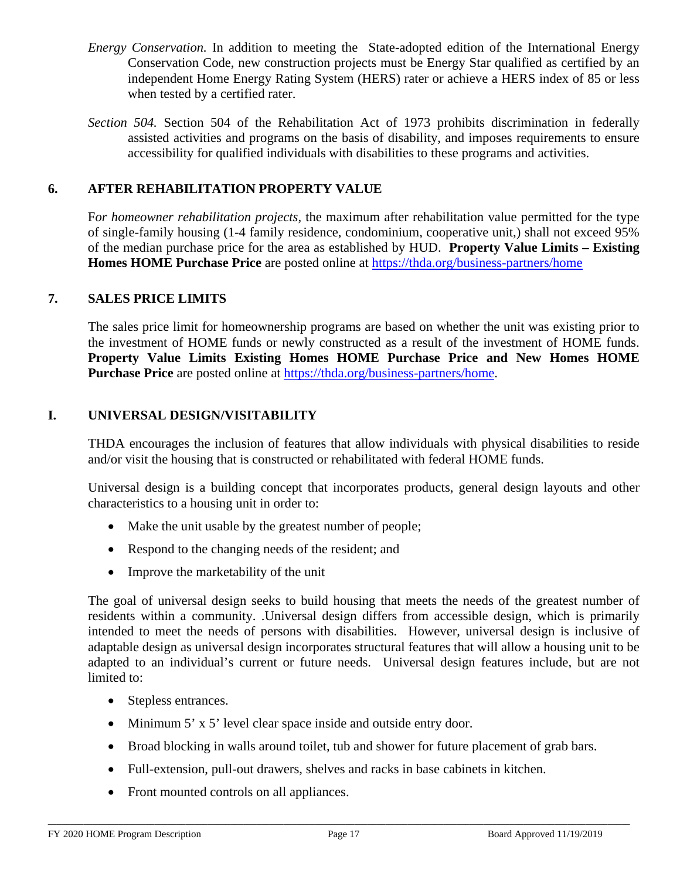- *Energy Conservation.* In addition to meeting the State-adopted edition of the International Energy Conservation Code, new construction projects must be Energy Star qualified as certified by an independent Home Energy Rating System (HERS) rater or achieve a HERS index of 85 or less when tested by a certified rater.
- *Section 504.* Section 504 of the Rehabilitation Act of 1973 prohibits discrimination in federally assisted activities and programs on the basis of disability, and imposes requirements to ensure accessibility for qualified individuals with disabilities to these programs and activities.

### **6. AFTER REHABILITATION PROPERTY VALUE**

F*or homeowner rehabilitation projects*, the maximum after rehabilitation value permitted for the type of single-family housing (1-4 family residence, condominium, cooperative unit,) shall not exceed 95% of the median purchase price for the area as established by HUD. **Property Value Limits – Existing Homes HOME Purchase Price** are posted online at <https://thda.org/business-partners/home>

#### **7. SALES PRICE LIMITS**

The sales price limit for homeownership programs are based on whether the unit was existing prior to the investment of HOME funds or newly constructed as a result of the investment of HOME funds. **Property Value Limits Existing Homes HOME Purchase Price and New Homes HOME Purchase Price** are posted online at [https://thda.org/business-partners/home.](https://thda.org/business-partners/home)

### **I. UNIVERSAL DESIGN/VISITABILITY**

THDA encourages the inclusion of features that allow individuals with physical disabilities to reside and/or visit the housing that is constructed or rehabilitated with federal HOME funds.

Universal design is a building concept that incorporates products, general design layouts and other characteristics to a housing unit in order to:

- Make the unit usable by the greatest number of people;
- Respond to the changing needs of the resident; and
- Improve the marketability of the unit

The goal of universal design seeks to build housing that meets the needs of the greatest number of residents within a community. .Universal design differs from accessible design, which is primarily intended to meet the needs of persons with disabilities. However, universal design is inclusive of adaptable design as universal design incorporates structural features that will allow a housing unit to be adapted to an individual's current or future needs. Universal design features include, but are not limited to:

- Stepless entrances.
- Minimum 5' x 5' level clear space inside and outside entry door.
- Broad blocking in walls around toilet, tub and shower for future placement of grab bars.
- Full-extension, pull-out drawers, shelves and racks in base cabinets in kitchen.
- Front mounted controls on all appliances.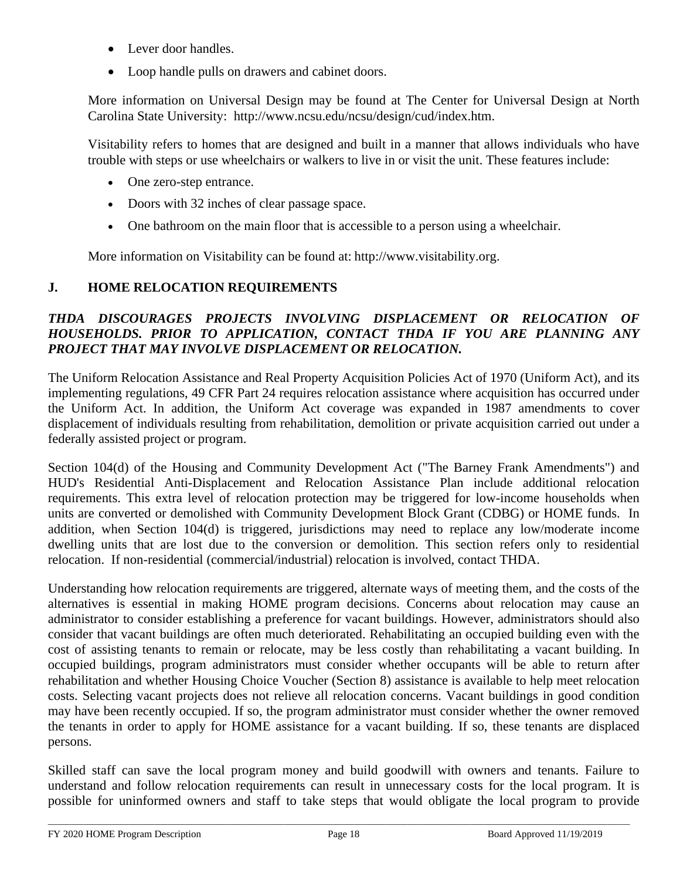- Lever door handles.
- Loop handle pulls on drawers and cabinet doors.

More information on Universal Design may be found at The Center for Universal Design at North Carolina State University: [http://www.ncsu.edu/ncsu/design/cud/index.htm.](http://www.ncsu.edu/ncsu/design/cud/index.htm)

Visitability refers to homes that are designed and built in a manner that allows individuals who have trouble with steps or use wheelchairs or walkers to live in or visit the unit. These features include:

- One zero-step entrance.
- Doors with 32 inches of clear passage space.
- One bathroom on the main floor that is accessible to a person using a wheelchair.

More information on Visitability can be found at: [http://www.visitability.org.](http://www.visitability.org/)

# **J. HOME RELOCATION REQUIREMENTS**

### *THDA DISCOURAGES PROJECTS INVOLVING DISPLACEMENT OR RELOCATION OF HOUSEHOLDS. PRIOR TO APPLICATION, CONTACT THDA IF YOU ARE PLANNING ANY PROJECT THAT MAY INVOLVE DISPLACEMENT OR RELOCATION.*

The Uniform Relocation Assistance and Real Property Acquisition Policies Act of 1970 (Uniform Act), and its implementing regulations, 49 CFR Part 24 requires relocation assistance where acquisition has occurred under the Uniform Act. In addition, the Uniform Act coverage was expanded in 1987 amendments to cover displacement of individuals resulting from rehabilitation, demolition or private acquisition carried out under a federally assisted project or program.

Section 104(d) of the Housing and Community Development Act ("The Barney Frank Amendments") and HUD's Residential Anti-Displacement and Relocation Assistance Plan include additional relocation requirements. This extra level of relocation protection may be triggered for low-income households when units are converted or demolished with Community Development Block Grant (CDBG) or HOME funds. In addition, when Section 104(d) is triggered, jurisdictions may need to replace any low/moderate income dwelling units that are lost due to the conversion or demolition. This section refers only to residential relocation. If non-residential (commercial/industrial) relocation is involved, contact THDA.

Understanding how relocation requirements are triggered, alternate ways of meeting them, and the costs of the alternatives is essential in making HOME program decisions. Concerns about relocation may cause an administrator to consider establishing a preference for vacant buildings. However, administrators should also consider that vacant buildings are often much deteriorated. Rehabilitating an occupied building even with the cost of assisting tenants to remain or relocate, may be less costly than rehabilitating a vacant building. In occupied buildings, program administrators must consider whether occupants will be able to return after rehabilitation and whether Housing Choice Voucher (Section 8) assistance is available to help meet relocation costs. Selecting vacant projects does not relieve all relocation concerns. Vacant buildings in good condition may have been recently occupied. If so, the program administrator must consider whether the owner removed the tenants in order to apply for HOME assistance for a vacant building. If so, these tenants are displaced persons.

Skilled staff can save the local program money and build goodwill with owners and tenants. Failure to understand and follow relocation requirements can result in unnecessary costs for the local program. It is possible for uninformed owners and staff to take steps that would obligate the local program to provide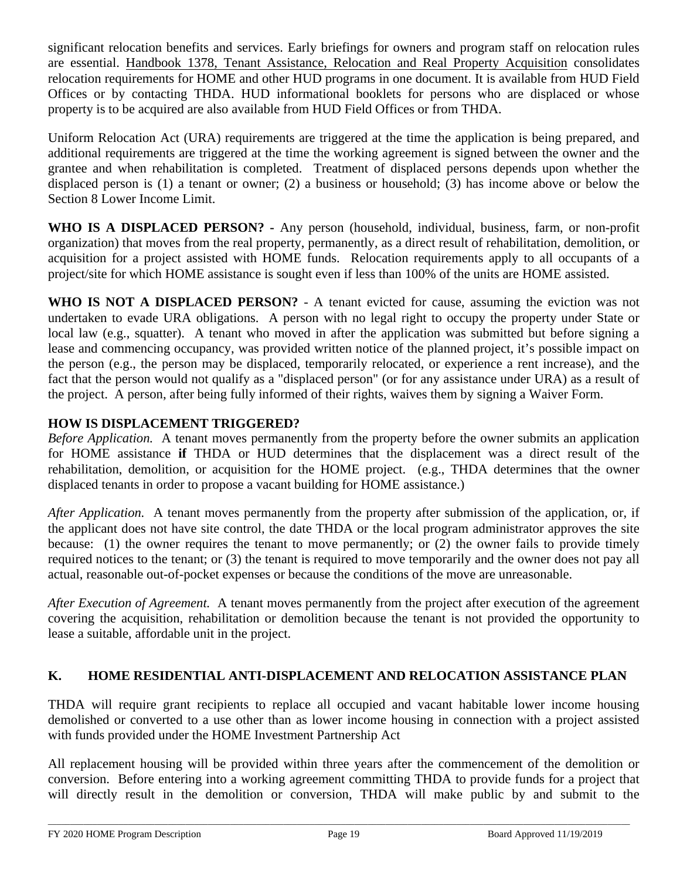significant relocation benefits and services. Early briefings for owners and program staff on relocation rules are essential. Handbook 1378, Tenant Assistance, Relocation and Real Property Acquisition consolidates relocation requirements for HOME and other HUD programs in one document. It is available from HUD Field Offices or by contacting THDA. HUD informational booklets for persons who are displaced or whose property is to be acquired are also available from HUD Field Offices or from THDA.

Uniform Relocation Act (URA) requirements are triggered at the time the application is being prepared, and additional requirements are triggered at the time the working agreement is signed between the owner and the grantee and when rehabilitation is completed. Treatment of displaced persons depends upon whether the displaced person is (1) a tenant or owner; (2) a business or household; (3) has income above or below the Section 8 Lower Income Limit.

**WHO IS A DISPLACED PERSON? -** Any person (household, individual, business, farm, or non-profit organization) that moves from the real property, permanently, as a direct result of rehabilitation, demolition, or acquisition for a project assisted with HOME funds. Relocation requirements apply to all occupants of a project/site for which HOME assistance is sought even if less than 100% of the units are HOME assisted.

**WHO IS NOT A DISPLACED PERSON?** - A tenant evicted for cause, assuming the eviction was not undertaken to evade URA obligations. A person with no legal right to occupy the property under State or local law (e.g., squatter). A tenant who moved in after the application was submitted but before signing a lease and commencing occupancy, was provided written notice of the planned project, it's possible impact on the person (e.g., the person may be displaced, temporarily relocated, or experience a rent increase), and the fact that the person would not qualify as a "displaced person" (or for any assistance under URA) as a result of the project. A person, after being fully informed of their rights, waives them by signing a Waiver Form.

# **HOW IS DISPLACEMENT TRIGGERED?**

*Before Application.* A tenant moves permanently from the property before the owner submits an application for HOME assistance **if** THDA or HUD determines that the displacement was a direct result of the rehabilitation, demolition, or acquisition for the HOME project. (e.g., THDA determines that the owner displaced tenants in order to propose a vacant building for HOME assistance.)

*After Application.* A tenant moves permanently from the property after submission of the application, or, if the applicant does not have site control, the date THDA or the local program administrator approves the site because: (1) the owner requires the tenant to move permanently; or (2) the owner fails to provide timely required notices to the tenant; or (3) the tenant is required to move temporarily and the owner does not pay all actual, reasonable out-of-pocket expenses or because the conditions of the move are unreasonable.

*After Execution of Agreement.* A tenant moves permanently from the project after execution of the agreement covering the acquisition, rehabilitation or demolition because the tenant is not provided the opportunity to lease a suitable, affordable unit in the project.

# **K. HOME RESIDENTIAL ANTI-DISPLACEMENT AND RELOCATION ASSISTANCE PLAN**

THDA will require grant recipients to replace all occupied and vacant habitable lower income housing demolished or converted to a use other than as lower income housing in connection with a project assisted with funds provided under the HOME Investment Partnership Act

All replacement housing will be provided within three years after the commencement of the demolition or conversion. Before entering into a working agreement committing THDA to provide funds for a project that will directly result in the demolition or conversion, THDA will make public by and submit to the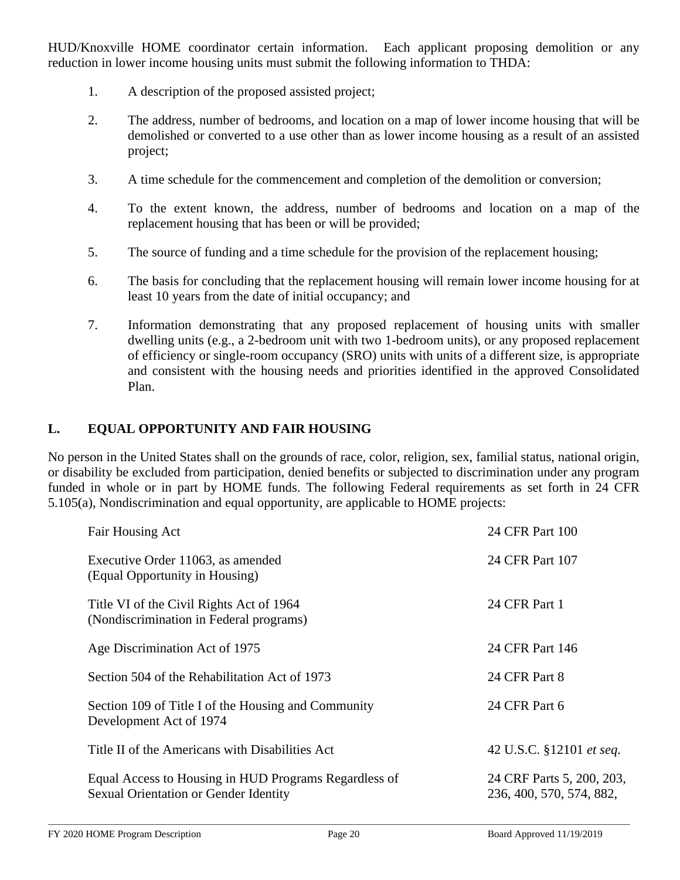HUD/Knoxville HOME coordinator certain information. Each applicant proposing demolition or any reduction in lower income housing units must submit the following information to THDA:

- 1. A description of the proposed assisted project;
- 2. The address, number of bedrooms, and location on a map of lower income housing that will be demolished or converted to a use other than as lower income housing as a result of an assisted project;
- 3. A time schedule for the commencement and completion of the demolition or conversion;
- 4. To the extent known, the address, number of bedrooms and location on a map of the replacement housing that has been or will be provided;
- 5. The source of funding and a time schedule for the provision of the replacement housing;
- 6. The basis for concluding that the replacement housing will remain lower income housing for at least 10 years from the date of initial occupancy; and
- 7. Information demonstrating that any proposed replacement of housing units with smaller dwelling units (e.g., a 2-bedroom unit with two 1-bedroom units), or any proposed replacement of efficiency or single-room occupancy (SRO) units with units of a different size, is appropriate and consistent with the housing needs and priorities identified in the approved Consolidated Plan.

#### **L. EQUAL OPPORTUNITY AND FAIR HOUSING**

No person in the United States shall on the grounds of race, color, religion, sex, familial status, national origin, or disability be excluded from participation, denied benefits or subjected to discrimination under any program funded in whole or in part by HOME funds. The following Federal requirements as set forth in 24 CFR 5.105(a), Nondiscrimination and equal opportunity, are applicable to HOME projects:

| Fair Housing Act                                                                               | 24 CFR Part 100                                       |
|------------------------------------------------------------------------------------------------|-------------------------------------------------------|
| Executive Order 11063, as amended<br>(Equal Opportunity in Housing)                            | 24 CFR Part 107                                       |
| Title VI of the Civil Rights Act of 1964<br>(Nondiscrimination in Federal programs)            | 24 CFR Part 1                                         |
| Age Discrimination Act of 1975                                                                 | 24 CFR Part 146                                       |
| Section 504 of the Rehabilitation Act of 1973                                                  | 24 CFR Part 8                                         |
| Section 109 of Title I of the Housing and Community<br>Development Act of 1974                 | 24 CFR Part 6                                         |
| Title II of the Americans with Disabilities Act                                                | 42 U.S.C. §12101 et seq.                              |
| Equal Access to Housing in HUD Programs Regardless of<br>Sexual Orientation or Gender Identity | 24 CRF Parts 5, 200, 203,<br>236, 400, 570, 574, 882, |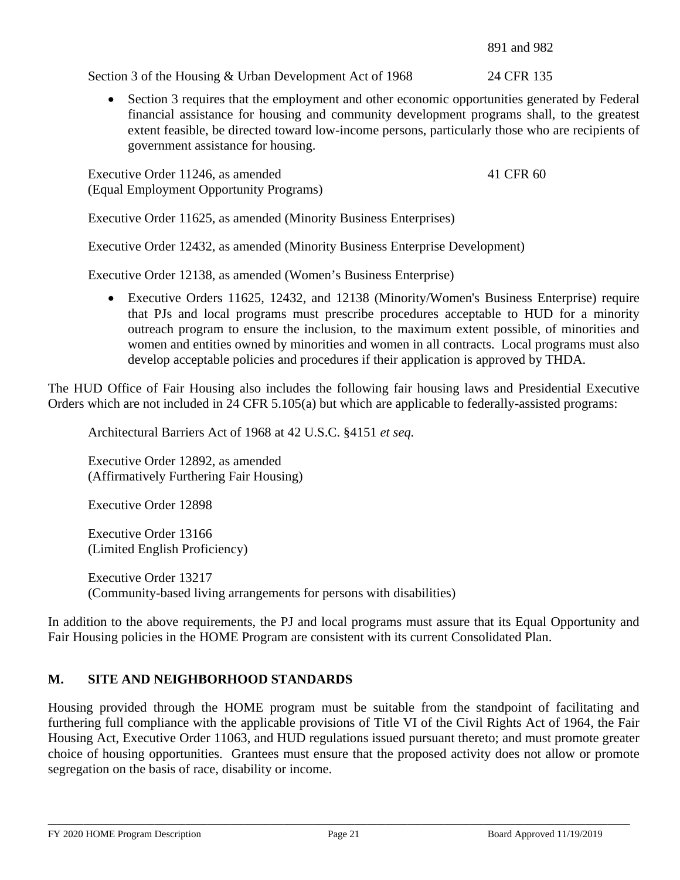891 and 982

Section 3 of the Housing & Urban Development Act of 1968 24 CFR 135

• Section 3 requires that the employment and other economic opportunities generated by Federal financial assistance for housing and community development programs shall, to the greatest extent feasible, be directed toward low-income persons, particularly those who are recipients of government assistance for housing.

Executive Order 11246, as amended 41 CFR 60 (Equal Employment Opportunity Programs)

Executive Order 11625, as amended (Minority Business Enterprises)

Executive Order 12432, as amended (Minority Business Enterprise Development)

Executive Order 12138, as amended (Women's Business Enterprise)

• Executive Orders 11625, 12432, and 12138 (Minority/Women's Business Enterprise) require that PJs and local programs must prescribe procedures acceptable to HUD for a minority outreach program to ensure the inclusion, to the maximum extent possible, of minorities and women and entities owned by minorities and women in all contracts. Local programs must also develop acceptable policies and procedures if their application is approved by THDA.

The HUD Office of Fair Housing also includes the following fair housing laws and Presidential Executive Orders which are not included in 24 CFR 5.105(a) but which are applicable to federally-assisted programs:

Architectural Barriers Act of 1968 at 42 U.S.C. §4151 *et seq.*

Executive Order 12892, as amended (Affirmatively Furthering Fair Housing)

Executive Order 12898

Executive Order 13166 (Limited English Proficiency)

Executive Order 13217 (Community-based living arrangements for persons with disabilities)

In addition to the above requirements, the PJ and local programs must assure that its Equal Opportunity and Fair Housing policies in the HOME Program are consistent with its current Consolidated Plan.

# **M. SITE AND NEIGHBORHOOD STANDARDS**

Housing provided through the HOME program must be suitable from the standpoint of facilitating and furthering full compliance with the applicable provisions of Title VI of the Civil Rights Act of 1964, the Fair Housing Act, Executive Order 11063, and HUD regulations issued pursuant thereto; and must promote greater choice of housing opportunities. Grantees must ensure that the proposed activity does not allow or promote segregation on the basis of race, disability or income.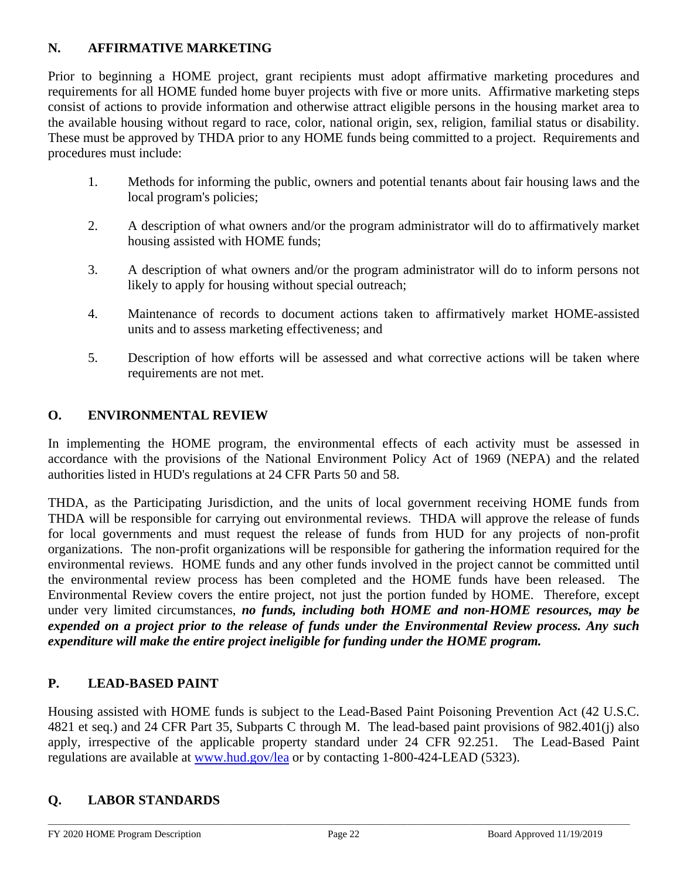# **N. AFFIRMATIVE MARKETING**

Prior to beginning a HOME project, grant recipients must adopt affirmative marketing procedures and requirements for all HOME funded home buyer projects with five or more units. Affirmative marketing steps consist of actions to provide information and otherwise attract eligible persons in the housing market area to the available housing without regard to race, color, national origin, sex, religion, familial status or disability. These must be approved by THDA prior to any HOME funds being committed to a project. Requirements and procedures must include:

- 1. Methods for informing the public, owners and potential tenants about fair housing laws and the local program's policies;
- 2. A description of what owners and/or the program administrator will do to affirmatively market housing assisted with HOME funds;
- 3. A description of what owners and/or the program administrator will do to inform persons not likely to apply for housing without special outreach;
- 4. Maintenance of records to document actions taken to affirmatively market HOME-assisted units and to assess marketing effectiveness; and
- 5. Description of how efforts will be assessed and what corrective actions will be taken where requirements are not met.

# **O. ENVIRONMENTAL REVIEW**

In implementing the HOME program, the environmental effects of each activity must be assessed in accordance with the provisions of the National Environment Policy Act of 1969 (NEPA) and the related authorities listed in HUD's regulations at 24 CFR Parts 50 and 58.

THDA, as the Participating Jurisdiction, and the units of local government receiving HOME funds from THDA will be responsible for carrying out environmental reviews. THDA will approve the release of funds for local governments and must request the release of funds from HUD for any projects of non-profit organizations. The non-profit organizations will be responsible for gathering the information required for the environmental reviews. HOME funds and any other funds involved in the project cannot be committed until the environmental review process has been completed and the HOME funds have been released. The Environmental Review covers the entire project, not just the portion funded by HOME. Therefore, except under very limited circumstances, *no funds, including both HOME and non-HOME resources, may be expended on a project prior to the release of funds under the Environmental Review process. Any such expenditure will make the entire project ineligible for funding under the HOME program.*

# **P. LEAD-BASED PAINT**

Housing assisted with HOME funds is subject to the Lead-Based Paint Poisoning Prevention Act (42 U.S.C. 4821 et seq.) and 24 CFR Part 35, Subparts C through M. The lead-based paint provisions of 982.401(j) also apply, irrespective of the applicable property standard under 24 CFR 92.251. The Lead-Based Paint regulations are available at [www.hud.gov/lea](http://www.hud.gov/lea) or by contacting 1-800-424-LEAD (5323).

# **Q. LABOR STANDARDS**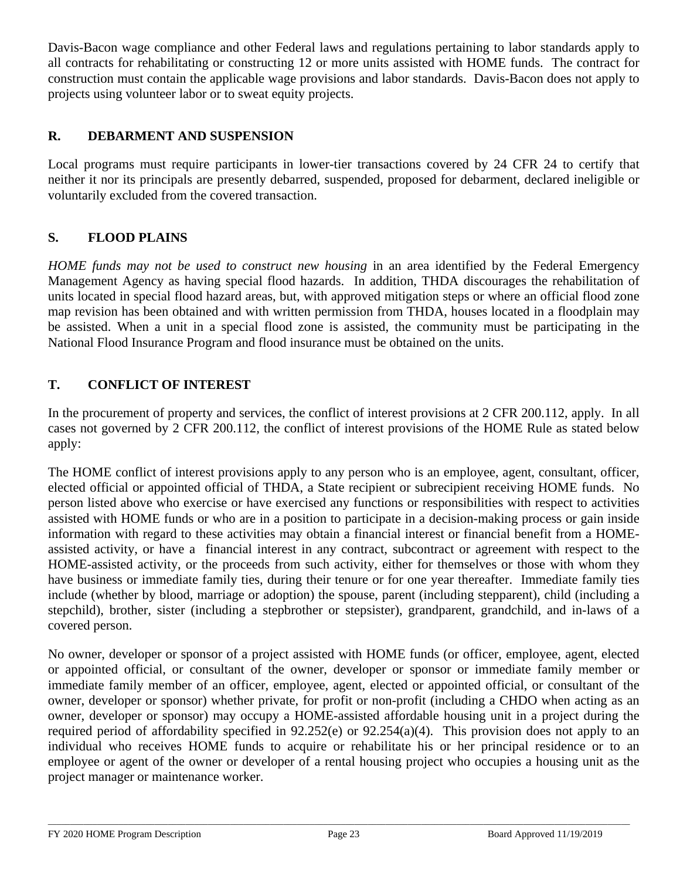Davis-Bacon wage compliance and other Federal laws and regulations pertaining to labor standards apply to all contracts for rehabilitating or constructing 12 or more units assisted with HOME funds. The contract for construction must contain the applicable wage provisions and labor standards. Davis-Bacon does not apply to projects using volunteer labor or to sweat equity projects.

# **R. DEBARMENT AND SUSPENSION**

Local programs must require participants in lower-tier transactions covered by 24 CFR 24 to certify that neither it nor its principals are presently debarred, suspended, proposed for debarment, declared ineligible or voluntarily excluded from the covered transaction.

# **S. FLOOD PLAINS**

*HOME funds may not be used to construct new housing* in an area identified by the Federal Emergency Management Agency as having special flood hazards. In addition, THDA discourages the rehabilitation of units located in special flood hazard areas, but, with approved mitigation steps or where an official flood zone map revision has been obtained and with written permission from THDA, houses located in a floodplain may be assisted. When a unit in a special flood zone is assisted, the community must be participating in the National Flood Insurance Program and flood insurance must be obtained on the units.

# **T. CONFLICT OF INTEREST**

In the procurement of property and services, the conflict of interest provisions at 2 CFR 200.112, apply. In all cases not governed by 2 CFR 200.112, the conflict of interest provisions of the HOME Rule as stated below apply:

The HOME conflict of interest provisions apply to any person who is an employee, agent, consultant, officer, elected official or appointed official of THDA, a State recipient or subrecipient receiving HOME funds. No person listed above who exercise or have exercised any functions or responsibilities with respect to activities assisted with HOME funds or who are in a position to participate in a decision-making process or gain inside information with regard to these activities may obtain a financial interest or financial benefit from a HOMEassisted activity, or have a financial interest in any contract, subcontract or agreement with respect to the HOME-assisted activity, or the proceeds from such activity, either for themselves or those with whom they have business or immediate family ties, during their tenure or for one year thereafter. Immediate family ties include (whether by blood, marriage or adoption) the spouse, parent (including stepparent), child (including a stepchild), brother, sister (including a stepbrother or stepsister), grandparent, grandchild, and in-laws of a covered person.

No owner, developer or sponsor of a project assisted with HOME funds (or officer, employee, agent, elected or appointed official, or consultant of the owner, developer or sponsor or immediate family member or immediate family member of an officer, employee, agent, elected or appointed official, or consultant of the owner, developer or sponsor) whether private, for profit or non-profit (including a CHDO when acting as an owner, developer or sponsor) may occupy a HOME-assisted affordable housing unit in a project during the required period of affordability specified in 92.252(e) or 92.254(a)(4). This provision does not apply to an individual who receives HOME funds to acquire or rehabilitate his or her principal residence or to an employee or agent of the owner or developer of a rental housing project who occupies a housing unit as the project manager or maintenance worker.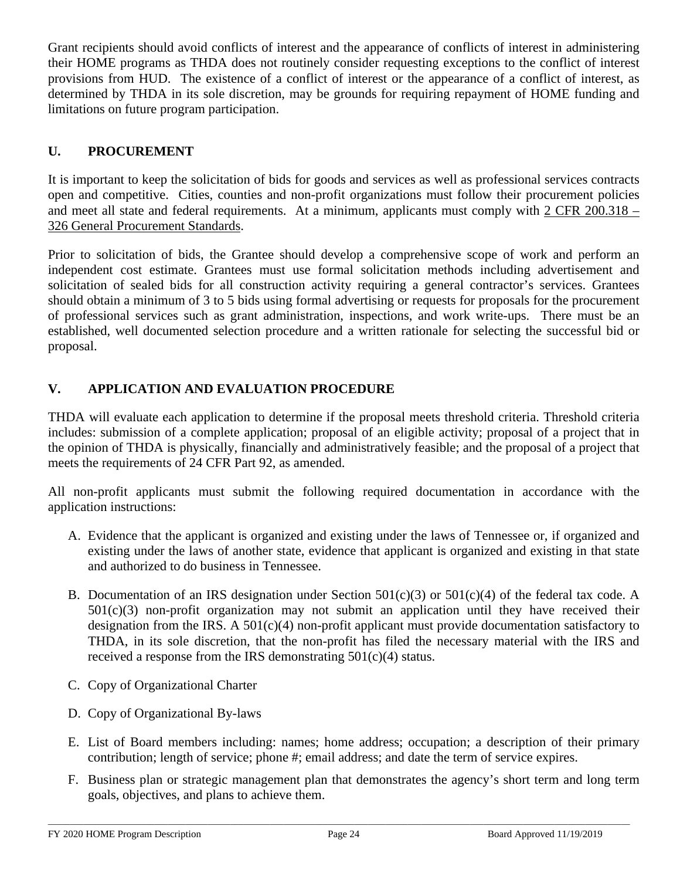Grant recipients should avoid conflicts of interest and the appearance of conflicts of interest in administering their HOME programs as THDA does not routinely consider requesting exceptions to the conflict of interest provisions from HUD. The existence of a conflict of interest or the appearance of a conflict of interest, as determined by THDA in its sole discretion, may be grounds for requiring repayment of HOME funding and limitations on future program participation.

# **U. PROCUREMENT**

It is important to keep the solicitation of bids for goods and services as well as professional services contracts open and competitive. Cities, counties and non-profit organizations must follow their procurement policies and meet all state and federal requirements. At a minimum, applicants must comply with 2 CFR 200.318 – 326 General Procurement Standards.

Prior to solicitation of bids, the Grantee should develop a comprehensive scope of work and perform an independent cost estimate. Grantees must use formal solicitation methods including advertisement and solicitation of sealed bids for all construction activity requiring a general contractor's services. Grantees should obtain a minimum of 3 to 5 bids using formal advertising or requests for proposals for the procurement of professional services such as grant administration, inspections, and work write-ups. There must be an established, well documented selection procedure and a written rationale for selecting the successful bid or proposal.

# **V. APPLICATION AND EVALUATION PROCEDURE**

THDA will evaluate each application to determine if the proposal meets threshold criteria. Threshold criteria includes: submission of a complete application; proposal of an eligible activity; proposal of a project that in the opinion of THDA is physically, financially and administratively feasible; and the proposal of a project that meets the requirements of 24 CFR Part 92, as amended.

All non-profit applicants must submit the following required documentation in accordance with the application instructions:

- A. Evidence that the applicant is organized and existing under the laws of Tennessee or, if organized and existing under the laws of another state, evidence that applicant is organized and existing in that state and authorized to do business in Tennessee.
- B. Documentation of an IRS designation under Section  $501(c)(3)$  or  $501(c)(4)$  of the federal tax code. A  $501(c)(3)$  non-profit organization may not submit an application until they have received their designation from the IRS. A  $501(c)(4)$  non-profit applicant must provide documentation satisfactory to THDA, in its sole discretion, that the non-profit has filed the necessary material with the IRS and received a response from the IRS demonstrating  $501(c)(4)$  status.
- C. Copy of Organizational Charter
- D. Copy of Organizational By-laws
- E. List of Board members including: names; home address; occupation; a description of their primary contribution; length of service; phone #; email address; and date the term of service expires.
- F. Business plan or strategic management plan that demonstrates the agency's short term and long term goals, objectives, and plans to achieve them.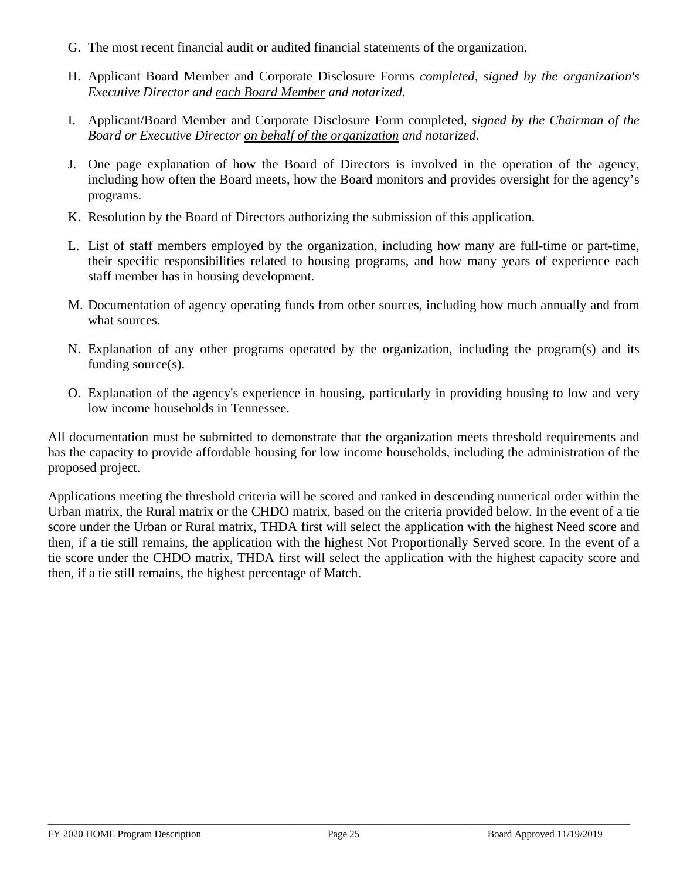- G. The most recent financial audit or audited financial statements of the organization.
- H. Applicant Board Member and Corporate Disclosure Forms *completed, signed by the organization's Executive Director and each Board Member and notarized.*
- I. Applicant/Board Member and Corporate Disclosure Form completed, *signed by the Chairman of the Board or Executive Director on behalf of the organization and notarized*.
- J. One page explanation of how the Board of Directors is involved in the operation of the agency, including how often the Board meets, how the Board monitors and provides oversight for the agency's programs.
- K. Resolution by the Board of Directors authorizing the submission of this application.
- L. List of staff members employed by the organization, including how many are full-time or part-time, their specific responsibilities related to housing programs, and how many years of experience each staff member has in housing development.
- M. Documentation of agency operating funds from other sources, including how much annually and from what sources.
- N. Explanation of any other programs operated by the organization, including the program(s) and its funding source(s).
- O. Explanation of the agency's experience in housing, particularly in providing housing to low and very low income households in Tennessee.

All documentation must be submitted to demonstrate that the organization meets threshold requirements and has the capacity to provide affordable housing for low income households, including the administration of the proposed project.

Applications meeting the threshold criteria will be scored and ranked in descending numerical order within the Urban matrix, the Rural matrix or the CHDO matrix, based on the criteria provided below. In the event of a tie score under the Urban or Rural matrix, THDA first will select the application with the highest Need score and then, if a tie still remains, the application with the highest Not Proportionally Served score. In the event of a tie score under the CHDO matrix, THDA first will select the application with the highest capacity score and then, if a tie still remains, the highest percentage of Match.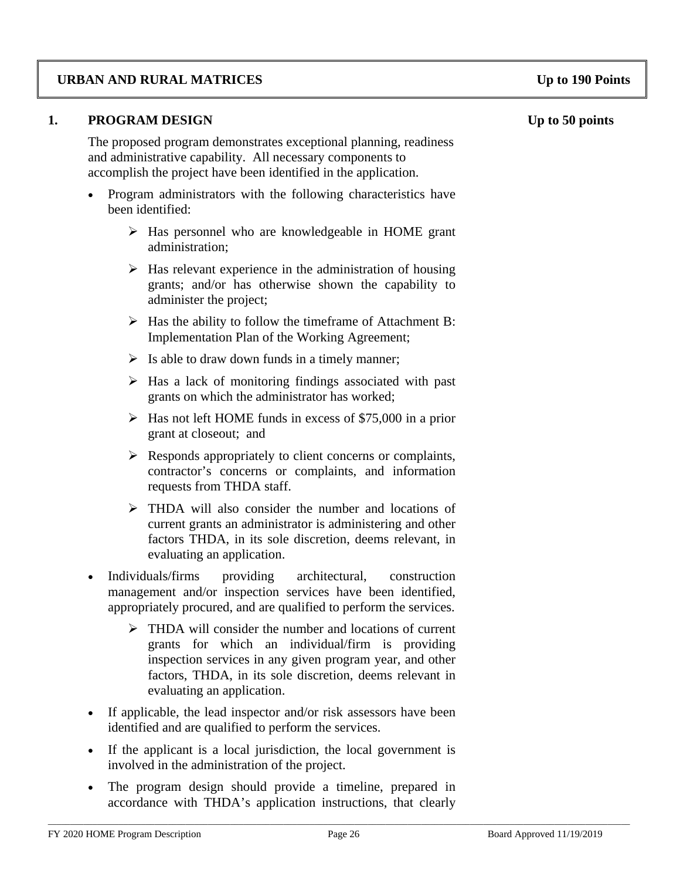### **URBAN AND RURAL MATRICES Up to 190 Points**

#### **1. PROGRAM DESIGN Up to 50 points**

The proposed program demonstrates exceptional planning, readiness and administrative capability. All necessary components to accomplish the project have been identified in the application.

- Program administrators with the following characteristics have been identified:
	- $\triangleright$  Has personnel who are knowledgeable in HOME grant administration;
	- $\triangleright$  Has relevant experience in the administration of housing grants; and/or has otherwise shown the capability to administer the project;
	- $\triangleright$  Has the ability to follow the timeframe of Attachment B: Implementation Plan of the Working Agreement;
	- $\triangleright$  Is able to draw down funds in a timely manner;
	- $\triangleright$  Has a lack of monitoring findings associated with past grants on which the administrator has worked;
	- $\triangleright$  Has not left HOME funds in excess of \$75,000 in a prior grant at closeout; and
	- $\triangleright$  Responds appropriately to client concerns or complaints, contractor's concerns or complaints, and information requests from THDA staff.
	- THDA will also consider the number and locations of current grants an administrator is administering and other factors THDA, in its sole discretion, deems relevant, in evaluating an application.
- Individuals/firms providing architectural, construction management and/or inspection services have been identified, appropriately procured, and are qualified to perform the services.
	- > THDA will consider the number and locations of current grants for which an individual/firm is providing inspection services in any given program year, and other factors, THDA, in its sole discretion, deems relevant in evaluating an application.
- If applicable, the lead inspector and/or risk assessors have been identified and are qualified to perform the services.
- If the applicant is a local jurisdiction, the local government is involved in the administration of the project.
- The program design should provide a timeline, prepared in accordance with THDA's application instructions, that clearly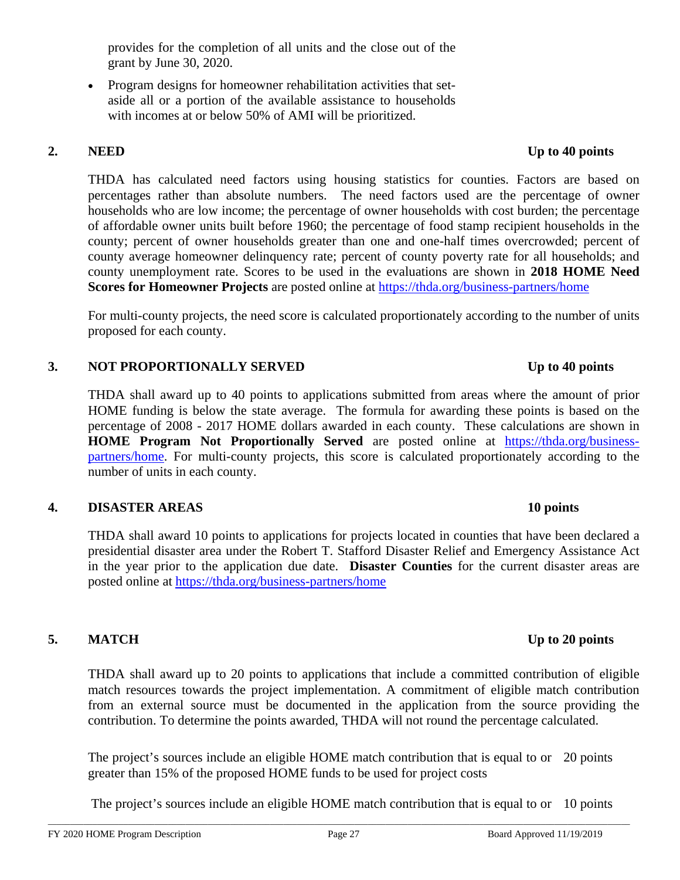provides for the completion of all units and the close out of the grant by June 30, 2020.

• Program designs for homeowner rehabilitation activities that setaside all or a portion of the available assistance to households with incomes at or below 50% of AMI will be prioritized.

THDA has calculated need factors using housing statistics for counties. Factors are based on percentages rather than absolute numbers. The need factors used are the percentage of owner households who are low income; the percentage of owner households with cost burden; the percentage of affordable owner units built before 1960; the percentage of food stamp recipient households in the county; percent of owner households greater than one and one-half times overcrowded; percent of county average homeowner delinquency rate; percent of county poverty rate for all households; and county unemployment rate. Scores to be used in the evaluations are shown in **2018 HOME Need Scores for Homeowner Projects** are posted online at <https://thda.org/business-partners/home>

For multi-county projects, the need score is calculated proportionately according to the number of units proposed for each county.

### **3. NOT PROPORTIONALLY SERVED Up to 40 points**

THDA shall award up to 40 points to applications submitted from areas where the amount of prior HOME funding is below the state average. The formula for awarding these points is based on the percentage of 2008 - 2017 HOME dollars awarded in each county. These calculations are shown in **HOME Program Not Proportionally Served** are posted online at [https://thda.org/business](https://thda.org/business-partners/home)[partners/home.](https://thda.org/business-partners/home) For multi-county projects, this score is calculated proportionately according to the number of units in each county.

### **4. DISASTER AREAS 10 points**

THDA shall award 10 points to applications for projects located in counties that have been declared a presidential disaster area under the Robert T. Stafford Disaster Relief and Emergency Assistance Act in the year prior to the application due date. **Disaster Counties** for the current disaster areas are posted online at <https://thda.org/business-partners/home>

# **5. MATCH Up to 20 points**

THDA shall award up to 20 points to applications that include a committed contribution of eligible match resources towards the project implementation. A commitment of eligible match contribution from an external source must be documented in the application from the source providing the contribution. To determine the points awarded, THDA will not round the percentage calculated.

The project's sources include an eligible HOME match contribution that is equal to or 20 points greater than 15% of the proposed HOME funds to be used for project costs

The project's sources include an eligible HOME match contribution that is equal to or 10 points

# \_\_\_\_\_\_\_\_\_\_\_\_\_\_\_\_\_\_\_\_\_\_\_\_\_\_\_\_\_\_\_\_\_\_\_\_\_\_\_\_\_\_\_\_\_\_\_\_\_\_\_\_\_\_\_\_\_\_\_\_\_\_\_\_\_\_\_\_\_\_\_\_\_\_\_\_\_\_\_\_\_\_\_\_\_\_\_\_\_\_\_\_\_\_\_\_\_\_\_\_\_\_\_\_\_\_\_\_\_\_\_\_\_\_\_\_\_\_\_\_\_\_\_\_\_\_\_\_\_\_\_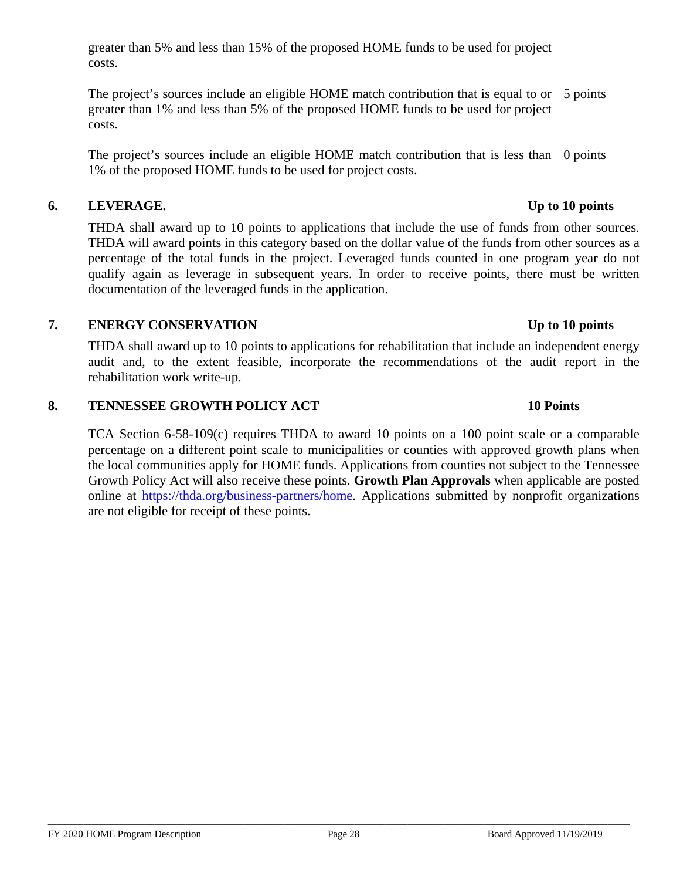greater than 5% and less than 15% of the proposed HOME funds to be used for project costs.

The project's sources include an eligible HOME match contribution that is equal to or 5 points greater than 1% and less than 5% of the proposed HOME funds to be used for project costs.

The project's sources include an eligible HOME match contribution that is less than 0 points 1% of the proposed HOME funds to be used for project costs.

### **6. LEVERAGE. Up to 10 points**

THDA shall award up to 10 points to applications that include the use of funds from other sources. THDA will award points in this category based on the dollar value of the funds from other sources as a percentage of the total funds in the project. Leveraged funds counted in one program year do not qualify again as leverage in subsequent years. In order to receive points, there must be written documentation of the leveraged funds in the application.

## **7. ENERGY CONSERVATION Up to 10 points**

THDA shall award up to 10 points to applications for rehabilitation that include an independent energy audit and, to the extent feasible, incorporate the recommendations of the audit report in the rehabilitation work write-up.

### **8. TENNESSEE GROWTH POLICY ACT 10 Points**

TCA Section 6-58-109(c) requires THDA to award 10 points on a 100 point scale or a comparable percentage on a different point scale to municipalities or counties with approved growth plans when the local communities apply for HOME funds. Applications from counties not subject to the Tennessee Growth Policy Act will also receive these points. **Growth Plan Approvals** when applicable are posted online at [https://thda.org/business-partners/home.](https://thda.org/business-partners/home) Applications submitted by nonprofit organizations are not eligible for receipt of these points.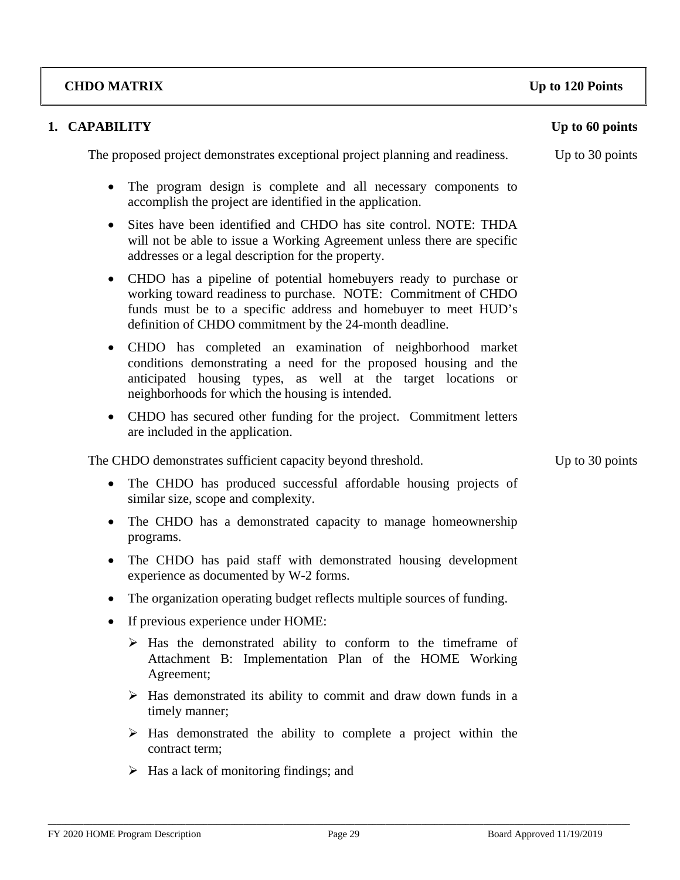#### FY 2020 HOME Program Description Page 29 Board Approved 11/19/2019

**1. CAPABILITY** Up to 60 points The proposed project demonstrates exceptional project planning and readiness. Up to 30 points • The program design is complete and all necessary components to

- accomplish the project are identified in the application. • Sites have been identified and CHDO has site control. NOTE: THDA will not be able to issue a Working Agreement unless there are specific
- CHDO has a pipeline of potential homebuyers ready to purchase or working toward readiness to purchase. NOTE: Commitment of CHDO funds must be to a specific address and homebuyer to meet HUD's definition of CHDO commitment by the 24-month deadline.
- CHDO has completed an examination of neighborhood market conditions demonstrating a need for the proposed housing and the anticipated housing types, as well at the target locations or neighborhoods for which the housing is intended.
- CHDO has secured other funding for the project. Commitment letters are included in the application.

The CHDO demonstrates sufficient capacity beyond threshold. Up to 30 points

addresses or a legal description for the property.

- The CHDO has produced successful affordable housing projects of similar size, scope and complexity.
- The CHDO has a demonstrated capacity to manage homeownership programs.
- The CHDO has paid staff with demonstrated housing development experience as documented by W-2 forms.
- The organization operating budget reflects multiple sources of funding.
- If previous experience under HOME:
	- $\triangleright$  Has the demonstrated ability to conform to the timeframe of Attachment B: Implementation Plan of the HOME Working Agreement;
	- $\triangleright$  Has demonstrated its ability to commit and draw down funds in a timely manner;
	- $\triangleright$  Has demonstrated the ability to complete a project within the contract term;
	- $\triangleright$  Has a lack of monitoring findings; and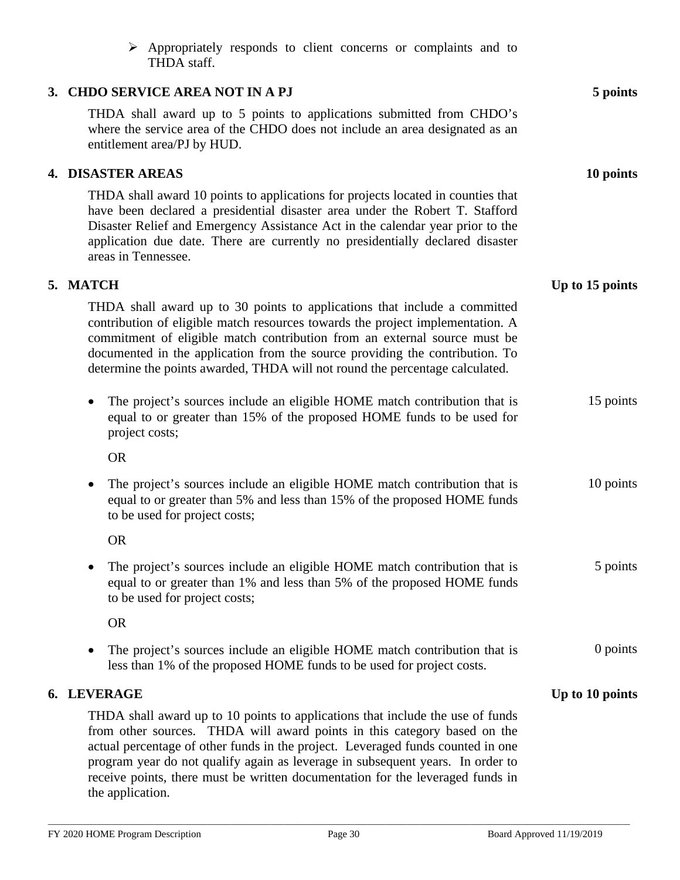| Appropriately responds to client concerns or complaints and to<br>➤<br>THDA staff.                                                                                                                                                                                                                                                                                                                                                    |                 |
|---------------------------------------------------------------------------------------------------------------------------------------------------------------------------------------------------------------------------------------------------------------------------------------------------------------------------------------------------------------------------------------------------------------------------------------|-----------------|
| 3. CHDO SERVICE AREA NOT IN A PJ                                                                                                                                                                                                                                                                                                                                                                                                      | 5 points        |
| THDA shall award up to 5 points to applications submitted from CHDO's<br>where the service area of the CHDO does not include an area designated as an<br>entitlement area/PJ by HUD.                                                                                                                                                                                                                                                  |                 |
| 4. DISASTER AREAS                                                                                                                                                                                                                                                                                                                                                                                                                     | 10 points       |
| THDA shall award 10 points to applications for projects located in counties that<br>have been declared a presidential disaster area under the Robert T. Stafford<br>Disaster Relief and Emergency Assistance Act in the calendar year prior to the<br>application due date. There are currently no presidentially declared disaster<br>areas in Tennessee.                                                                            |                 |
| 5. MATCH                                                                                                                                                                                                                                                                                                                                                                                                                              | Up to 15 points |
| THDA shall award up to 30 points to applications that include a committed<br>contribution of eligible match resources towards the project implementation. A<br>commitment of eligible match contribution from an external source must be<br>documented in the application from the source providing the contribution. To<br>determine the points awarded, THDA will not round the percentage calculated.                              |                 |
| The project's sources include an eligible HOME match contribution that is<br>equal to or greater than 15% of the proposed HOME funds to be used for<br>project costs;                                                                                                                                                                                                                                                                 | 15 points       |
| <b>OR</b>                                                                                                                                                                                                                                                                                                                                                                                                                             |                 |
| The project's sources include an eligible HOME match contribution that is<br>$\bullet$<br>equal to or greater than 5% and less than 15% of the proposed HOME funds<br>to be used for project costs;                                                                                                                                                                                                                                   | 10 points       |
| <b>OR</b>                                                                                                                                                                                                                                                                                                                                                                                                                             |                 |
| The project's sources include an eligible HOME match contribution that is<br>equal to or greater than 1% and less than 5% of the proposed HOME funds<br>to be used for project costs;                                                                                                                                                                                                                                                 | 5 points        |
| <b>OR</b>                                                                                                                                                                                                                                                                                                                                                                                                                             |                 |
| The project's sources include an eligible HOME match contribution that is<br>less than 1% of the proposed HOME funds to be used for project costs.                                                                                                                                                                                                                                                                                    | 0 points        |
| 6. LEVERAGE                                                                                                                                                                                                                                                                                                                                                                                                                           | Up to 10 points |
| THDA shall award up to 10 points to applications that include the use of funds<br>from other sources. THDA will award points in this category based on the<br>actual percentage of other funds in the project. Leveraged funds counted in one<br>program year do not qualify again as leverage in subsequent years. In order to<br>receive points, there must be written documentation for the leveraged funds in<br>the application. |                 |